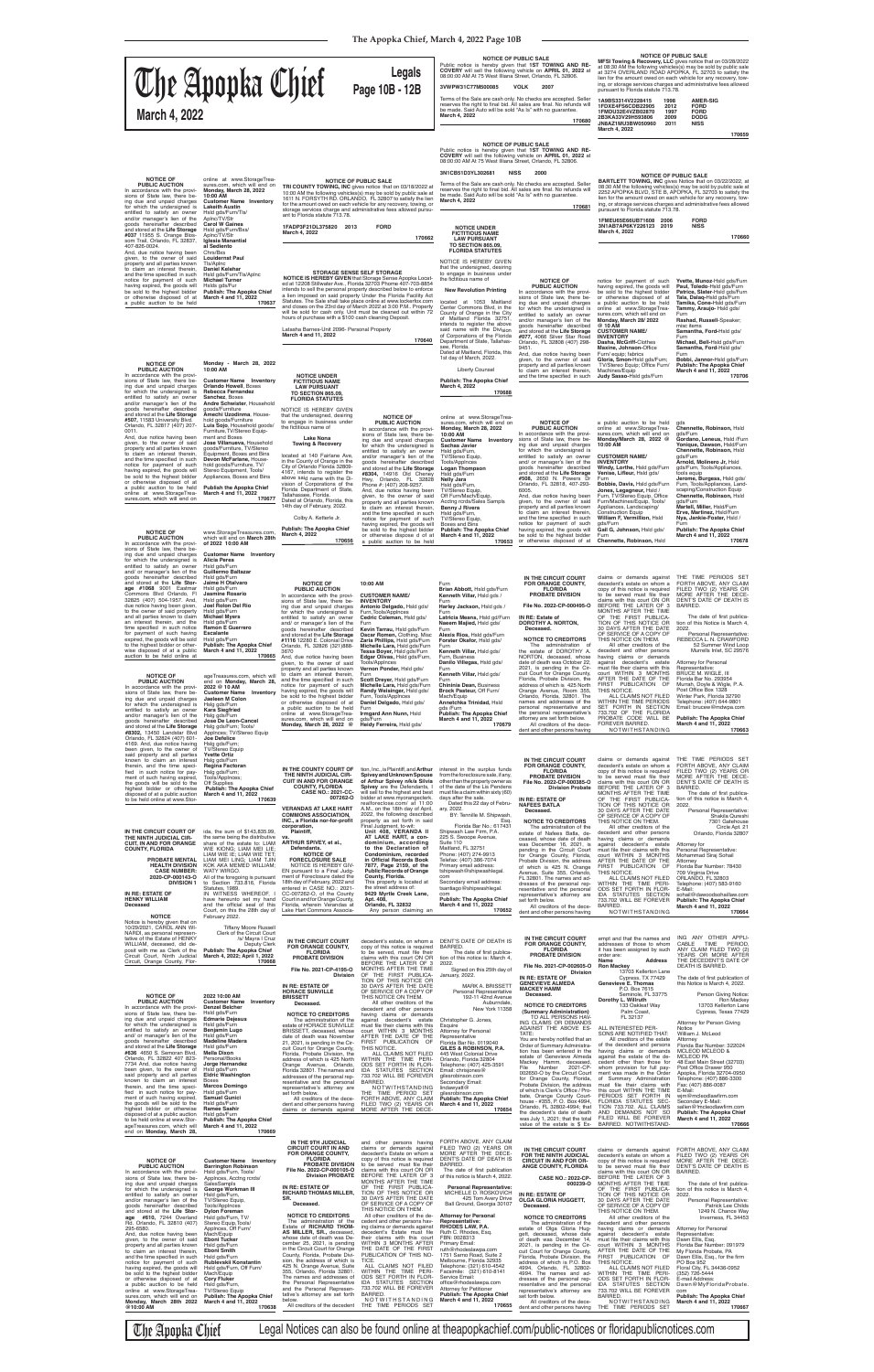**NOTICE OF PUBLIC SALE MFSI Towing & Recovery, LLC** gives notice that on 03/28/2022 at 08:30 AM the following vehicles(s) may be sold by public sale at 3274 OVERLAND ROAD APOPKA, FL 32703 to satisfy the lien for the amount owed on each vehicle for any recovery, tow-ing, or storage services charges and administrative fees allowed

pursuant to Florida statute 713.78.

### **1A9BS3314V2228415 1998 AMER-SIG 1FDXE4FS6CDB22905 2012 FORD 1FMDU32E4VZB02870 1997 FORD 2B3KA33V29H593806 2009 DODG JN8AZ1MU3BW050960 2011 NISS March 4, 2022**

**170659**

All other creditors of the decedent and other persons Murrells Inlet, SC 29576

**170662**

having claims or demands<br>against decedent's estate<br>must\_file\_their\_claims\_with\_this<br>court WITHIN 3 MONTHS AFTER THE DATE OF THE FIRST PUBLICATION OF ALL CLAIMS NOT FILED WITHIN THE TIME PERIODS SET FORTH IN SECTION Attorney for Personal Representative: BRUCE M. WIGLE, III Florida Bar No. 293954 Murrah, Doyle & Wigle, P. A. Post Office Box 1328<br>Winter Park, Florida 32790<br>Telephone: (407) 644-9801 Email: brucew@mdwpa.com

claims or demands against THE TIME PERIODS SET<br>decedent's estate on whom a FORTH ABOVE, ANY CLAIM FILED TWO (2) YEARS OR

THIS NOTICE.

FOREVER BARRED.

NOTWITHSTANDING

733.702 OF THE FLORIDA PROBATE CODE WILL BE **Publish: The Apopka Chief March 4 and 11, 2022 170663**

**IN THE CIRCUIT COURT FOR ORANGE COUNTY, FLORIDA**

copy of this notice is required

## **NOTICE OF PUBLIC AUCTION**

In accordance with the provisions of State law, there being due and unpaid charges for which the undersigned is entitled to satisfy an owner and/ or manager's lien of the goods hereinafter described and stored at the **Life Stor-age #1068** 9001 Eastmar Commons Blvd Orlando, Fl 32825 (407) 504-1957. And, due notice having been given, to the owner of said property and all parties known to claim an interest therein, and the time specified in such notice<br>for payment of such having<br>expired, the goods will be sold to the highest bidder or other-wise disposed of at a public auction to be held online at

**of 2022 10:00 AM Customer Name Inventory Alicia Perea** Hsld gds/Furn **Guillermo Baltazar** Hsld gds/Furn

**Jaime H Otalvaro** Hsld gds/Furn **Jasmine Rosario** Hsld gds/Furn **Joel Rolon Del Rio** Hsld gds/Furn

## **Michael Myers** Hsld ads/Fur **Ramon E Guerrero Escalante** Hsld gds/Furn **Publish: The Apopka Chief March 4 and 11, 2022 170665**

**Rebecca Fernandez Sanchez**, Boxes goods/Furniture **Amechi Uzodinma**, Household goods/Furniture<br>**Luis Sojo**, Household goods/<br>Furniture,TV/Stereo Equipment and Boxes<br>**Jose Villanueva,** Household<br>Equipment, Boxes and Bins<br>Devon McFarlane, House-<br>hold goods/Furniture, TV/

/Furn **F**urn **Chennet Arnold, Molinero Jr,** Hsld  $\mathop{\mathrm{es}}\nolimits$ gds/ Furn, Tools/Appliances, Landscaping/Construction Equip **Chennette, Robinson,** Hsld **Martell, Miller,** Hsld/Furn **Erve, Martinez,** Hsld/Furn **Nya, Jankie-Foster,** Hsld /

claims or demands against decedent's estate on whom a THE TIME PERIODS SET FORTH ABOVE, ANY CLAIM **Publish: The Apopka Chief March 4 and 11, 2022 170678**

copy of this notice is required<br>to be served must file their<br>claims with this court ON OR<br>BEFORE THE LATER OF 3 MONTHS AFTER THE TIME OF THE FIRST PUBLICA-TION OF THIS NOTICE OR 30 DAYS AFTER THE DATE OF SERVICE OF A COPY OF THIS NOTICE ON THEM. FILED TWO (2) YEARS OR MORE AFTER THE DECE-DENT'S DATE OF DEATH IS **BARRED** The date of first publica-<br>tion of this Notice is March 4,<br>2022.<br>Personal Representative:<br>REBECCA L. N. CRAWFORD<br>52 Summer Wind Loop

and/or manager's lien of the goods hereinafter described and stored at the **Life Storage #077,** 4066 Silver Star Road Orlando, FL 32808 (407) 298- 9451. And, due notice having been given, to the owner of said property and all parties known to claim an interest therein,<br>and the time specified in such

**IN THE CIRCUIT COURT FOR ORANGE COUNTY, FLORIDA PROBATE DIVISION File No. 2022-CP-000495-O IN RE: Estate of DOROTHY A. NORTON, Deceased. NOTICE TO CREDITORS** The administration of the estate of DOROTHY A. NORTON, deceased, whose date of death was October 22, 2021, is pending in the Cir-cuit Court for Orange County, Florida, Probate Division, the address of which is 425 North **Brian Abbott,** Hsld gds/Furn

**Tammy, Araujo-** Hsld gds/ Furn eaker; misc items **Id** gds/ Furn ds/Furn

Orange Avenue, Room 355, Orlando, Florida, 32801. The names and addresses of the personal representative and the personal representative's attorney are set forth below. All creditors of the decedent and other persons having **March 4 and 11, 2022 170679**

**Samantha, Ford**-Hsld gds/ Furn gds/Furn

ă Chief **March 4 and 11, 2022 170706**

| S.<br>2000<br>Vo checks are accepted. Seller<br>sales are final. No refunds will<br>As Is" with no guarantee.<br>170681                                                                                   | pursuant to Florida statute 713.78.                                                                                                                                                                                       | <b>NOTICE OF PUBLIC SALE</b><br><b>BARTLETT TOWING, INC gives Notice that on 03/22/2022, at</b><br>08:30 AM the following vehicles(s) may be sold by public sale at<br>2252 APOPKA BLVD, STE B, APOPKA, FL 32703 to satisfy the<br>lien for the amount owed on each vehicle for any recovery, tow-<br>ing, or storage services charges and administrative fees allowed |
|-----------------------------------------------------------------------------------------------------------------------------------------------------------------------------------------------------------|---------------------------------------------------------------------------------------------------------------------------------------------------------------------------------------------------------------------------|------------------------------------------------------------------------------------------------------------------------------------------------------------------------------------------------------------------------------------------------------------------------------------------------------------------------------------------------------------------------|
|                                                                                                                                                                                                           | 1FMEU65E66UB71608<br>2006<br>3N1AB7AP6KY226123<br>2019<br>March 4, 2022                                                                                                                                                   | <b>FORD</b><br><b>NISS</b><br>170660                                                                                                                                                                                                                                                                                                                                   |
|                                                                                                                                                                                                           |                                                                                                                                                                                                                           |                                                                                                                                                                                                                                                                                                                                                                        |
| <b>NOTICE OF</b><br><b>PUBLIC AUCTION</b><br>In accordance with the provi-<br>sions of State law, there be-<br>ing due and unpaid charges<br>for which the undersigned is<br>entitled to satisfy an owner | notice for payment of such<br>having expired, the goods will<br>be sold to the highest bidder<br>or otherwise disposed of at<br>a public auction to be held<br>online at www.StorageTrea-<br>sures.com, which will end on | Yvette, Munoz-Hsld gds/Furn<br>Paul, Toledo-Hsld gds/Furn<br>Patrice, Slater-Hsld gds/Furn<br>Tala, Dalag-Hsld gds/Furn<br>Tamika, Cone-Hsld qds/Furn<br>Tammy, Araujo- Hsld gds/<br>Furn                                                                                                                                                                              |

#### **TRI COUNTY TOWING, INC OF PUBLIC SALE**<br>**TRI COUNTY TOWING, INC** gives notice that on 03/18/2022 at<br>10:00 AM the following vehicles(s) may be sold by public sale at<br>1611 N. FORSYTH RD. ORLANDO, FL 32807 to satisfy the lien for the amount owed on each vehicle for any recovery, towing, or storage services charge and administrative fees allowed pursu-ant to Florida statute 713.78. **1FADP3F21DL375820 2013 FORD March 4, 2022** In accordance with the provisions of State law, there being due and unpaid charges for which the undersigned is entitled to satisfy an owner and/or manager's lien of the goods hereinafter described and stored at the **Life Storage #037** 11955 S. Orange Blos-som Trail, Orlando, FL 32837, And, due notice having been given, to the owner of said online at www.StorageTrea-sures.com, which will end on **Monday, March 28, 2022 10:00 AM Customer Name Inventory Lakeith Austin** Hsld gds/Furn/Tls/ Aplnc/TV/Str **Carol W Gaines** Hsld gds/Furn/Bxs/ Aplnc/TV/Str **Iglesia Manantial al Sediento** Chrs/Bxs **Louidernst Paul**

intends to sell the personal property described below to enforce<br>a lien imposed on said property Under the Florida Facility Act<br>Statutes. The Sale shall take place online at www.lockerfox.com<br>and closes on the 23rd day of will be sold for cash only. Unit must be cleaned out within 72 hours of purchase with a \$100 cash cleaning Deposit.

> **NOTICE OF<br>
> <b>PUBLIC AUCTION**<br>
> In accordance with the provi-<br>
> sions of State law, there being due and unpaid charges for which the undersigned is entitled to satisfy an owner and/or manager's lien of the goods hereinafter described and stored at the **Life Storage #8304,** 14916 Old Cheney Hwy, Orlando, FL 32828 Phone #: (407) 208-9257. And, due notice having been given, to the owner of said property and all parties known to claim an interest therein, and the time specified in such notice for payment of such having expired, the goods will be sold to the highest bidder

Hsld gds/Furn,<br>TV/Stereo Equip,<br>Boxes and Bins **Publish: The Apopka Chief**

**NOTICE OF PUBLIC AUCTION**

In accordance with the provi-sions of State law, there being due and unpaid charges for which the undersigned is entitled to satisfy an owner and/or manager's lien of the goods hereinafter described and stored at the **Life Storage #507,** 11583 University Blvd. Orlando, FL 32817 (407) 207- 0011. And, due notice having been given, to the owner of said property and all parties known to claim an interest therein,<br>and the time specified in such<br>notice for payment of such having expired, the goods will be sold to the highest bidder or otherwise disposed of at a public auction to be held online at www.StorageTrea-sures.com, which will end on **Monday - March 28, 2022 10:00 AM** 

**Customer Name Inventory Orlando Howell**, Boxes **Andre Schwister**, Household

Stereo Equipment, Tools/ Appliances, Boxes and Bins **Publish the Apopka Chief March 4 and 11, 2022 170677**

notice for payment of such having expired, the goods will be sold to the highest bidder or otherwise disposed of at

| <b>NOTICE OF</b><br><b>PUBLIC AUCTION</b><br>In accordance with the provi-<br>sions of State law, there be-<br>ing due and unpaid charges<br>for which the undersigned is | a public auction to be held<br>online at www.StorageTrea-<br>sures.com, which will end on<br>Monday/March 28, 2022 @<br>10:00 AM                                                                                                                                                                                                                                  | qds<br>Chennette, Robinson, Hsld<br>gds/Furn<br>Gordano, Leneus, Hsld /Fur<br><b>Yonique, Dawson, Hsld/Furr</b><br>Chennette, Robinson, Hsld |
|---------------------------------------------------------------------------------------------------------------------------------------------------------------------------|-------------------------------------------------------------------------------------------------------------------------------------------------------------------------------------------------------------------------------------------------------------------------------------------------------------------------------------------------------------------|----------------------------------------------------------------------------------------------------------------------------------------------|
| entitled to satisfy an owner                                                                                                                                              | <b>CUSTOMER NAME/</b>                                                                                                                                                                                                                                                                                                                                             | ads/Furn                                                                                                                                     |
| and/ or manager's lien of the                                                                                                                                             | <b>INVENTORY</b>                                                                                                                                                                                                                                                                                                                                                  | Arnold, Molinero Jr, Hsld                                                                                                                    |
| goods hereinafter described                                                                                                                                               | Windy, Lorthe, Hsld gds/Furn                                                                                                                                                                                                                                                                                                                                      | gds/Furn, Tools/Appliances,                                                                                                                  |
| and stored at the Life Storage                                                                                                                                            | Venise, Lifleur, Hsld gds/                                                                                                                                                                                                                                                                                                                                        | tools equip                                                                                                                                  |
| # <b>508,</b> 2650 N. Powers Dr                                                                                                                                           | Furn                                                                                                                                                                                                                                                                                                                                                              | Jerome, Burgess, Hsld gds/                                                                                                                   |
| Orlando, FL 32818, 407-293-                                                                                                                                               | Bobbie, Davis, Hsld gds/Furn                                                                                                                                                                                                                                                                                                                                      | Furn, Tools/Appliances, Land                                                                                                                 |
| 6005.                                                                                                                                                                     | Jones, Legagneur, Hsld /                                                                                                                                                                                                                                                                                                                                          | scaping/Construction Equip                                                                                                                   |
| And, due notice having been                                                                                                                                               | Furn, TV/Stereo Equip, Office                                                                                                                                                                                                                                                                                                                                     | Chennette, Robinson, Hsld                                                                                                                    |
| given, to the owner of said                                                                                                                                               | Furn/Machines/Equip, Tools/                                                                                                                                                                                                                                                                                                                                       | ads/Furn                                                                                                                                     |
| property and all parties known                                                                                                                                            | Appliances, Landscaping/                                                                                                                                                                                                                                                                                                                                          | Martell, Miller, Hsld/Furn                                                                                                                   |
| to claim an interest therein,                                                                                                                                             | <b>Construction Equip</b>                                                                                                                                                                                                                                                                                                                                         | Erve, Martinez, Hsld/Furn                                                                                                                    |
| and the time specified in such                                                                                                                                            | William F, Vermillion, Hsld                                                                                                                                                                                                                                                                                                                                       | Nya, Jankie-Foster, Hsld /                                                                                                                   |
| notice for payment of such                                                                                                                                                | ads/Furn                                                                                                                                                                                                                                                                                                                                                          | Furn                                                                                                                                         |
| والقراري والمرورون والمراطف المرورة وبراريس المرورة ويوامل                                                                                                                | $\bigcap_{i=1}^n \bigcap_{i=1}^n \bigcup_{i=1}^n \bigcap_{i=1}^n \bigcap_{i=1}^n \bigcap_{i=1}^n \bigcap_{i=1}^n \bigcap_{i=1}^n \bigcap_{i=1}^n \bigcap_{i=1}^n \bigcap_{i=1}^n \bigcap_{i=1}^n \bigcap_{i=1}^n \bigcap_{i=1}^n \bigcap_{i=1}^n \bigcap_{i=1}^n \bigcap_{i=1}^n \bigcap_{i=1}^n \bigcap_{i=1}^n \bigcap_{i=1}^n \bigcap_{i=1}^n \bigcap_{i=1}^n$ | Buildeachd The America Oldef                                                                                                                 |

**IN THE COUNTY COURT OF** tion, Inc., is Plaintiff, and **Arthur** interest in the surplus funds **THE NINTH JUDICIAL CIR-**

**Gail G, Johnson,** Hsld gds/ Furn **Chennette, Robinson,** Hsld

**NOTICE OF** 

**PUBLIC AUCTION** In accordance with the provi-sions of State law, there being due and unpaid charges for which the undersigned is entitled to satisfy an owner and/ or manager's lien of the goods hereinafter described and stored at the **Life Storage** 

**10:00 AM CUSTOMER NAME/ INVENTORY**

**Antonio Delgado,** Hsld gds/ Furn,Tools/Applnces **Cedric Coleman,** Hsld gds/ Furn<br>**Kevin Tarrau,** Hsld gds/Furn<br>**Zaria Phillips,** Hsld gds/Furn<br>**Michelle Lara,** Hsld gds/Furn<br>**Michelle Lara,** Hsld gds/Furn<br>**Tessa Boyer,** Hsld gds/Furn,<br>**Edgar Olivas,** Hsld gds/Furn, Furn **Scott Dreyer,** Hsld gds/Furn **Michelle Lara,** Hsld gds/Furn **Randy Weisinger,** Hsld gds/ Furn, Tools/Applnces **Daniel Delgado,** Hsld gds/ **Kenneth Villar,** Hsld gds / Furn **Harley Jackson,** Hsld gds / Furn **Latricia Means,** Hsld gd/Furn **Naeem Majied,** Hsld gds/ Furn **Alexis Rios,** Hsld gds/Furn **Forster Okafor,** Hsld gds/ Furn **Kenneth Villar,** Hsld gds/ Furn, Business **Danilo Villegas,** Hsld gds/ Furn **Kenneth Villar,** Hsld gds/ Furn **Chininia Dean,** Business **Brock Pasteur,** Off Furn/ Mach/Equip **Annetchka Trinidad,** Hsld gds /Furn **Publish: The Apopka Chief**

Furn

**3VWPW31C77M500085 VOLK 2007**

Terms of the Sale are cash only. No checks are accepted. Seller reserves the right to final bid. All sales are final. No refunds will<br>be made. Said Auto will be sold "As Is" with no guarantee. **March 4, 2022 170680**

**Public notice is hereby given that 1ST TOWING AND RE-**<br>**COVERY** will sell the following vehicle on **APRIL 01, 2022** at<br>08:00:00 AM At 75 West Illiana Street, Orlando, FL 32806.

www.StorageTreasures.com, which will end on **March 28th**  Colby A. Ketterle Jr. **Publish: The Apopka Chief March 4, 2022**

| ment of such having expired,<br>the goods will be sold to the<br>highest bidder or otherwise<br>disposed of at a public auction<br>to be held online at www.Stor-<br>IN THE CIRCUIT COURT OF<br>THE NINTH JUDICIAL CIR-<br><b>CUIT, IN AND FOR ORANGE</b><br><b>COUNTY, FLORIDA</b><br><b>PROBATE MENTAL</b><br><b>HEALTH DIVISION</b><br><b>CASE NUMBER:</b><br>2020-CP-000143-O<br><b>DIVISION 1</b><br>IN RE: ESTATE OF<br><b>HENKY WILLIAM</b><br>Deceased<br><b>NOTICE</b>                                                                                                                                                                                                                                                                                                                                         | Tools/AppInces;<br>Off Supplies<br><b>Publish: The Apopka Chief</b><br>March 4 and 11, 2022<br>170639<br>ida, the sum of \$143,835.99.<br>the same being the distributive<br>share of the estate to: LIAM<br>WIE KIONG; LIAM MEI LIE;<br>LIAM WIE IE; LIAM WIE TET;<br>LIAM MEI LING; LIAM TJIN<br>KOK AKA MEMED WILLIAM:<br>WATY WIRGO.<br>All of the foregoing is pursuant<br>to Section 733.816, Florida<br>Statutes, 1989.<br>IN WITNESS WHEREOF, I<br>have hereunto set my hand<br>and the official seal of this<br>Court, on this the 28th day of<br>February 2022.                                   | THE NINTH JUDICIAL CIR-<br><b>CUIT IN AND FOR ORANGE</b><br><b>COUNTY, FLORIDA</b><br><b>CASE NO.: 2021-CC-</b><br>007262-0<br><b>VERANDAS AT LAKE HART</b><br><b>COMMONS ASSOCIATION,</b><br>INC., a Florida nor-for-profit<br>corporation,<br>Plaintiff,<br>VS.<br>ARTHUR SPIVEY, et al.,<br>Defendants.<br><b>NOTICE OF</b><br><b>FORECLOSURE SALE</b><br>NOTICE IS HEREBY GIV-<br>EN pursuant to a Final Judg-<br>ment of Foreclosure dated the<br>18th day of February, 2022 and<br>entered in CASE NO.: 2021-<br>CC-007262-O, of the County<br>Court in and for Orange County,<br>Florida, wherein Verandas at<br>Lake Hart Commons Associa-                                                                                                                                    | Spivey and Unknown Spouse<br>of Arthur Spivey n/k/a Silvia<br>Spivey are the Defendants. I<br>will sell to the highest and best<br>bidder at www.myorangeclerk.<br>realforeclose.com/ at 11:00<br>A.M., on the 18th day of April,<br>2022, the following described<br>property as set forth in said<br>Final Judgment, to-wit:<br>Unit 408, VERANDA II<br>AT LAKE HART, a con-<br>dominium, according<br>to the Declaration of<br>Condominium, recorded<br>in Official Records Book<br>7877. Page 2159, of the<br><b>Public Records of Orange</b><br>County, Florida.<br>This property is located at<br>the street address of:<br>9429 Myrtle Creek Lane,<br>Apt. 408,<br>Orlando, FL 32832<br>Any person claiming an                                                                                                        | from the foreclosure sale, if any,<br>other than the property owner as<br>of the date of the Lis Pendens<br>must file a claim within sixty (60)<br>days after the sale.<br>Dated this 22 day of Febru-<br>ary, 2022.<br>BY: Tennille M. Shipwash,<br>Esg.<br>Florida Bar No.: 617431<br>Shipwash Law Firm, P.A.<br>225 S. Swoope Avenue,<br>Suite 110<br>Maitland, FL 32751<br>Phone: (407) 274-9913<br>Telefax: (407) 386-7074<br>Primary email address:<br>tshipwash@shipwashlegal.<br>com<br>Secondary email address:<br>tsantiago@shipwashleqal.<br>com<br><b>Publish: The Apopka Chief</b><br>March 4 and 11, 2022<br>170652                                                                                     | <b>PROBATE DIVISION</b><br>File No. 2022-CP-000385-O<br><b>Division Probate</b><br>IN RE: ESTATE OF<br><b>NAFEES BATLA</b><br>Deceased.<br><b>NOTICE TO CREDITORS</b><br>The administration of the<br>estate of Nafees Batla, de-<br>ceased, whose date of death<br>was December 16, 2021, is<br>pending in the Circuit Court<br>for Orange County, Florida,<br>Probate Division, the address<br>of which is 425 N. Orange<br>Avenue, Suite 355, Orlando,<br>FL 32801. The names and ad-<br>dresses of the personal rep-<br>resentative and the personal<br>representative's attorney are<br>set forth below.<br>All creditors of the dece-<br>dent and other persons having                                                                                 | to be served must file their<br>claims with this court ON OR<br>BEFORE THE LATER OF 3<br>MONTHS AFTER THE TIME<br>OF THE FIRST PUBLICA-<br>TION OF THIS NOTICE OR<br>30 DAYS AFTER THE DATE<br>OF SERVICE OF A COPY OF<br>THIS NOTICE ON THEM.<br>All other creditors of the<br>decedent and other persons<br>having claims or demands<br>against decedent's estate<br>must file their claims with this<br>court WITHIN 3 MONTHS<br>AFTER THE DATE OF THE<br>FIRST PUBLICATION<br>OF<br>THIS NOTICE.<br>ALL CLAIMS NOT FILED<br>WITHIN THE TIME PERI-<br>ODS SET FORTH IN FLOR-<br>IDA STATUTES SECTION<br>733.702 WILL BE FOREVER<br>BARRED.<br>NOTWITHSTANDING                                                                                                                                                                 | MORE AFTER THE DECE-<br>DENT'S DATE OF DEATH IS<br>BARRED.<br>The date of first publica-<br>tion of this notice is March 4.<br>2022.<br>Personal Representative:<br>Shakila Qureshi<br>7301 Gatehouse<br>Circle Apt. 21<br>Orlando, Florida 32807<br>Attorney for<br>Personal Representative:<br>Mohammad Siraj Sohail<br>Attorney<br>Florida Bar Number: 78430<br>709 Virginia Drive<br>ORLANDO, FL 32803<br>Telephone: (407) 583-9160<br>E-Mail:<br>sohail@dawoodsohaillaw.com<br><b>Publish: The Apopka Chief</b><br>March 4 and 11, 2022<br>170664                                                                  |
|-------------------------------------------------------------------------------------------------------------------------------------------------------------------------------------------------------------------------------------------------------------------------------------------------------------------------------------------------------------------------------------------------------------------------------------------------------------------------------------------------------------------------------------------------------------------------------------------------------------------------------------------------------------------------------------------------------------------------------------------------------------------------------------------------------------------------|-------------------------------------------------------------------------------------------------------------------------------------------------------------------------------------------------------------------------------------------------------------------------------------------------------------------------------------------------------------------------------------------------------------------------------------------------------------------------------------------------------------------------------------------------------------------------------------------------------------|---------------------------------------------------------------------------------------------------------------------------------------------------------------------------------------------------------------------------------------------------------------------------------------------------------------------------------------------------------------------------------------------------------------------------------------------------------------------------------------------------------------------------------------------------------------------------------------------------------------------------------------------------------------------------------------------------------------------------------------------------------------------------------------|------------------------------------------------------------------------------------------------------------------------------------------------------------------------------------------------------------------------------------------------------------------------------------------------------------------------------------------------------------------------------------------------------------------------------------------------------------------------------------------------------------------------------------------------------------------------------------------------------------------------------------------------------------------------------------------------------------------------------------------------------------------------------------------------------------------------------|-----------------------------------------------------------------------------------------------------------------------------------------------------------------------------------------------------------------------------------------------------------------------------------------------------------------------------------------------------------------------------------------------------------------------------------------------------------------------------------------------------------------------------------------------------------------------------------------------------------------------------------------------------------------------------------------------------------------------|--------------------------------------------------------------------------------------------------------------------------------------------------------------------------------------------------------------------------------------------------------------------------------------------------------------------------------------------------------------------------------------------------------------------------------------------------------------------------------------------------------------------------------------------------------------------------------------------------------------------------------------------------------------------------------------------------------------------------------------------------------------|----------------------------------------------------------------------------------------------------------------------------------------------------------------------------------------------------------------------------------------------------------------------------------------------------------------------------------------------------------------------------------------------------------------------------------------------------------------------------------------------------------------------------------------------------------------------------------------------------------------------------------------------------------------------------------------------------------------------------------------------------------------------------------------------------------------------------------|-------------------------------------------------------------------------------------------------------------------------------------------------------------------------------------------------------------------------------------------------------------------------------------------------------------------------------------------------------------------------------------------------------------------------------------------------------------------------------------------------------------------------------------------------------------------------------------------------------------------------|
| Notice is hereby given that on<br>10/29/2021, CAROL ANN WI-<br>NARDI, as personal represen-<br>tative of the Estate of HENKY<br>WILLIAM, deceased, did de-<br>posit with me as Clerk of the<br>Circuit Court, Ninth Judicial<br>Circuit, Orange County, Flor-                                                                                                                                                                                                                                                                                                                                                                                                                                                                                                                                                           | <b>Tiffany Moore Russell</b><br>Clerk of the Circuit Court<br>/s/ Mayra I Cruz<br>Deputy Clerk<br><b>Publish: The Apopka Chief</b><br>March 4, 2022; April 1, 2022<br>170668                                                                                                                                                                                                                                                                                                                                                                                                                                | IN THE CIRCUIT COURT<br>FOR ORANGE COUNTY,<br><b>FLORIDA</b><br><b>PROBATE DIVISION</b><br>File No. 2021-CP-4195-O<br><b>Division</b>                                                                                                                                                                                                                                                                                                                                                                                                                                                                                                                                                                                                                                                 | decedent's estate, on whom a<br>copy of this notice is required<br>to be served, must file their<br>claims with this court ON OR<br>BEFORE THE LATER OF 3<br>MONTHS AFTER THE TIME<br>OF THE FIRST PUBLICA-                                                                                                                                                                                                                                                                                                                                                                                                                                                                                                                                                                                                                  | DENT'S DATE OF DEATH IS<br><b>BARRED</b><br>The date of first publica-<br>tion of this notice is: March 4.<br>2022.<br>Signed on this 25th day of<br>January, 2022.                                                                                                                                                                                                                                                                                                                                                                                                                                                                                                                                                   | IN THE CIRCUIT COURT<br>FOR ORANGE COUNTY,<br><b>FLORIDA</b><br><b>PROBATE DIVISION</b><br>File No. 2021-CP-002605-O<br><b>Division</b>                                                                                                                                                                                                                                                                                                                                                                                                                                                                                                                                                                                                                      | empt and that the names and<br>addresses of those to whom<br>it has been assigned by such<br>order are:<br>Name<br>Address<br><b>Ron Mackey</b><br>13703 Kellerton Lane                                                                                                                                                                                                                                                                                                                                                                                                                                                                                                                                                                                                                                                          | ING ANY OTHER APPLI<br>CABLE<br><b>TIME</b><br><b>PERIOD</b><br>ANY CLAIM FILED TWO (2<br>YEARS OR MORE AFTER<br>THE DECEDENT'S DATE OF<br><b>DEATH IS BARRED.</b>                                                                                                                                                                                                                                                                                                                                                                                                                                                      |
| <b>NOTICE OF</b><br><b>PUBLIC AUCTION</b><br>In accordance with the provi-<br>sions of State law, there be-<br>ing due and unpaid charges<br>for which the undersigned is<br>entitled to satisfy an owner<br>and/ or manager's lien of the<br>goods hereinafter described<br>and stored at the Life Storage<br>#636 4650 S. Semoran Blvd,<br>Orlando, FL 32822 407 823-<br>7734 And, due notice having<br>been given, to the owner of<br>said property and all parties<br>known to claim an interest<br>therein, and the time speci-<br>fied in such notice for pay-<br>ment of such having expired,<br>the goods will be sold to the<br>highest bidder or otherwise<br>disposed of at a public auction<br>to be held online at www.Stor-<br>ageTreasures.com, which will<br>end on Monday, March 28,                   | 2022 10:00 AM<br><b>Customer Name Inventory</b><br><b>Denzel Belcher</b><br>Hsld gds/Furn<br><b>Edmarie Dejesus</b><br>Hsld gds/Furn<br>Benjamin Lugo<br>Hsld gds/Furn<br><b>Madeline Madera</b><br>Hsld gds/Furn<br><b>Mella Dixon</b><br>Personal/Books<br>Jorge Hernandez<br>Hsld gds/Furn<br><b>Eldric Washington</b><br>Boxes<br><b>Marcos Domingo</b><br>Hsld gds/Furn<br><b>Samuel Gunici</b><br>Hsld gds/Furn<br><b>Ramee Saahir</b><br>Hsld gds/Furn<br><b>Publish: The Apopka Chief</b><br>March 4 and 11, 2022<br>170669                                                                         | IN RE: ESTATE OF<br><b>HORACE SUNVILLE</b><br><b>BRISSETT</b><br>Deceased.<br><b>NOTICE TO CREDITORS</b><br>The administration of the<br>estate of HORACE SUNVILLE<br>BRISSETT, deceased, whose<br>date of death was November<br>21, 2021, is pending in the Cir-<br>cuit Court for Orange County,<br>Florida, Probate Division, the<br>address of which is 425 North<br>Orange Avenue, Orlando,<br>Florida 32801. The names and<br>addresses of the personal rep-<br>resentative and the personal<br>representative's attorney are<br>set forth below.<br>All creditors of the dece-<br>dent and other persons having<br>claims or demands against                                                                                                                                   | TION OF THIS NOTICE OR<br>30 DAYS AFTER THE DATE<br>OF SERVICE OF A COPY OF<br>THIS NOTICE ON THEM.<br>All other creditors of the<br>decedent and other persons<br>having claims or demands<br>against decedent's estate<br>must file their claims with this<br>court WITHIN 3 MONTHS<br>AFTER THE DATE OF THE<br>FIRST PUBLICATION OF<br>THIS NOTICE.<br>ALL CLAIMS NOT FILED<br>WITHIN THE TIME PERI-<br>ODS SET FORTH IN FLOR-<br>IDA STATUTES SECTION<br>733.702 WILL BE FOREVER<br>BARRED.<br>NOTWITHSTANDING<br>THE TIME PERIOD SET<br>FORTH ABOVE, ANY CLAIM<br>FILED TWO (2) YEARS OR<br>MORE AFTER THE DECE-                                                                                                                                                                                                        | <b>MARK A. BRISSETT</b><br>Personal Representative<br>192-11 42nd Avenue<br>Auburndale,<br>New York 11358<br>Christopher G. Jones,<br>Esquire<br>Attorney for Personal<br>Representative<br>Florida Bar No. 0119040<br>GILES & ROBINSON, P.A.<br>445 West Colonial Drive<br>Orlando, Florida 32804<br>Telephone: (407) 425-3591<br>Email: chrisjones@<br>gilesrobinson.com<br>Šecondary Email:<br>lindawyatt@<br>gilesrobinson.com<br><b>Publish: The Apopka Chief</b><br>March 4 and 11, 2022<br>170654                                                                                                                                                                                                              | IN RE: ESTATE OF<br><b>GENEVIEVE ALMEDA</b><br><b>MACKEY HAMM</b><br>Deceased.<br><b>NOTICE TO CREDITORS</b><br>(Summary Administration)<br>TO ALL PERSONS HAV-<br>ING CLAIMS OR DEMANDS<br>AGAINST THE ABOVE ES-<br>TATE:<br>You are hereby notified that an<br>Order of Summary Administra-<br>tion has been entered in the<br>estate of Genevieve Almeda<br>Mackey Hamm, deceased,<br>2021-CP-<br>File<br>Number<br>002650-O by the Circuit Court<br>for Orange County, Florida,<br>Probate Division, the address<br>of which is Clerk's Office / Pro-<br>bate, Orange County Court-<br>house - #355, P.O. Box 4994,<br>Orlando, FL 32802-4994; that<br>the decedent's date of death<br>was July 1, 2021; that the total<br>value of the estate is \$ Ex- | Cypress, TX 77429<br>Genevieve E. Thomas<br>P.O. Box 7615<br>Seminole, FL 33775<br>Dorothy L. Willruth<br>133 Oakleaf Way<br>Palm Coast,<br>FL 32137<br>ALL INTERESTED PER-<br>SONS ARE NOTIFIED THAT:<br>All creditors of the estate<br>of the decedent and persons<br>having claims or demands<br>against the estate of the de-<br>cedent other than those for<br>whom provision for full pay-<br>ment was made in the Order<br>of Summary Administration<br>must file their claims with<br>this court WITHIN THE TIME<br>PERIODS SET FORTH IN<br>FLORIDA STATUTES SEC-<br>TION 733.702. ALL CLAIMS<br>AND DEMANDS NOT SO<br>FILED WILL BE FOREVER<br>BARRED. NOTWITHSTAND-                                                                                                                                                    | The date of first publication of<br>this Notice is March 4, 2022.<br>Person Giving Notice:<br>Ron Mackey<br>13703 Kellerton Lane<br>Cypress, Texas 77429<br>Attorney for Person Giving<br>Notice<br>William J. McLeod<br>Attorney<br>Florida Bar Number: 322024<br><b>MCLEOD MCLEOD &amp;</b><br><b>MCLEOD PA</b><br>48 East Main Street (32703)<br>Post Office Drawer 950<br>Apopka, Florida 32704-0950<br>Telephone: (407) 886-3300<br>Fax: (407) 886-0087<br>E-Mail:<br>wjm@mcleodlawfirm.com<br>Secondary E-Mail<br>sallen@!mcleodlawfirm.com<br><b>Publish: The Apopka Chief</b><br>March 4 and 11, 2022<br>170666 |
| <b>NOTICE OF</b><br><b>PUBLIC AUCTION</b><br>In accordance with the provi-<br>sions of State law, there be-<br>ing due and unpaid charges<br>for which the undersigned is<br>entitled to satisfy an owner<br>and/or manager's lien of the<br>goods hereinafter described<br>and stored at the Life Stor-<br>age #610, 7244 Overland<br>Rd. Orlando, FL 32810 (407)<br>295-6580.<br>And, due notice having been<br>given, to the owner of said<br>property and all parties known<br>to claim an interest therein,<br>and the time specified in such<br>notice for payment of such<br>having expired, the goods will<br>be sold to the highest bidder<br>or otherwise disposed of at<br>a public auction to be held<br>online at www.StorageTrea-<br>sures.com, which will end on<br>Monday, March 28th 2022<br>@10:00 AM | <b>Customer Name Inventory</b><br><b>Barrington Robinson</b><br>Hsld gds/Furn, Tools/<br>Applnces, Acctng rcrds/<br>SalesSampls<br>George Workman III<br>Hsld gds/Furn,<br>TV/Stereo Equip,<br>Tools/AppInces<br><b>Dylon Foreman</b><br>Hsld gds/Furn, TV/<br>Stereo Equip, Tools/<br>Applnces, Off Furn/<br>Mach/Equip<br><b>Eboni Tucker</b><br>Hsld gds/Furn<br>Eboni Smith<br>Hsld gds/Furn<br>Rublevskii Konstantin<br>Hsld qds/Furn, Off Furn/<br>Mach/Equip<br><b>Cory Fluker</b><br>Hsld gds/Furn,<br><b>TV/Stereo Equip</b><br><b>Publish: The Apopka Chief</b><br>March 4 and 11, 2022<br>170638 | IN THE 9TH JUDICIAL<br><b>CIRCUIT COURT IN AND</b><br>FOR ORANGE COUNTY,<br><b>FLORIDA</b><br><b>PROBATE DIVISION</b><br>File No. 2022-CP-000105-O<br><b>Division PROBATE</b><br>IN RE: ESTATE OF<br><b>RICHARD THOMAS MILLER,</b><br>SR.<br>Deceased.<br><b>NOTICE TO CREDITORS</b><br>The administration of the<br>Estate of RICHARD THOM-<br>AS MILLER, SR., deceased,<br>whose date of death was De-<br>cember 25, 2021, is pending<br>in the Circuit Court for Orange<br>County, Florida, Probate Divi-<br>sion, the address of which is<br>425 N. Orange Avenue, Suite<br>355, Orlando, Florida 32801.<br>The names and addresses of<br>the Personal Representative<br>and the Personal Represen-<br>tative's attorney are set forth<br>below.<br>All creditors of the decedent | and other persons having<br>claims or demands against<br>decedent's Estate on whom a<br>copy of this notice is required<br>to be served must file their<br>claims with this court ON OR<br>BEFORE THE LATER OF 3<br>MONTHS AFTER THE TIME<br>OF THE FIRST PUBLICA-<br>TION OF THIS NOTICE OR<br>30 DAYS AFTER THE DATE<br>OF SERVICE OF A COPY OF<br>THIS NOTICE ON THEM.<br>All other creditors of the de-<br>cedent and other persons hav-<br>ing claims or demands against<br>decedent's Estate must file<br>their claims with this court<br>WITHIN 3 MONTHS AFTER<br>THE DATE OF THE FIRST<br>PUBLICATION OF THIS NO-<br>TICE.<br>ALL CLAIMS NOT FILED<br>WITHIN THE TIME PERI-<br>ODS SET FORTH IN FLOR-<br>IDA STATUTES SECTION<br>733.702 WILL BE FOREVER<br><b>BARRED</b><br>NOTWITHSTANDING<br>THE TIME PERIODS SET | FORTH ABOVE, ANY CLAIM<br>FILED TWO (2) YEARS OR<br>MORE AFTER THE DECE-<br>DENT'S DATE OF DEATH IS<br>BARRED.<br>The date of first publication<br>of this notice is March 4, 2022.<br><b>Personal Representative:</b><br>MICHELLE D. ROSKOVICH<br>425 Tom Avery Drive<br>Ball Ground, Georgia 30107<br><b>Attorney for Personal</b><br>Representative:<br>RHODES LAW, P.A.<br>Ruth C. Rhodes, Esq.<br>FBN: 0028313<br>Primary Email:<br>ruth@rhodeslawpa.com<br>1751 Sarno Road, Suite 2<br>Melbourne, Florida 32935<br>Telephone: (321) 610-4542<br>Facsimile: (321) 610-8141<br>Service Email:<br>office@rhodeslawpa.com<br>Attorney for Petitioner<br>Publish: The Apopka Chief<br>March 4 and 11, 2022<br>170655 | IN THE CIRCUIT COURT<br>FOR THE NINTH JUDICIAL<br><b>CIRCUIT IN AND FOR OR-</b><br>ANGE COUNTY, FLORIDA<br><b>CASE NO.: 2022-CP-</b><br>000239-0<br>IN RE: ESTATE OF<br>OLGA GLORIA HUGGETT,<br>Deceased.<br><b>NOTICE TO CREDITORS</b><br>The administration of the<br>estate of Olga Gloria Hug-<br>gett, deceased, whose date<br>of death was December 14,<br>2021, is pending in the Cir-<br>cuit Court for Orange County,<br>Florida, Probate Division, the<br>address of which is P.O. Box<br>4994, Orlando, FL 32802-<br>4994. The names and ad-<br>dresses of the personal rep-<br>resentative and the personal<br>representative's attorney are<br>set forth below.<br>All creditors of the dece-<br>dent and other persons having                  | claims or demands against<br>decedent's estate on whom a FILED TWO (2) YEARS OR<br>copy of this notice is required MORE AFTER THE DECE-<br>to be served must file their<br>claims with this court ON OR<br>BEFORE THE LATER OF 3<br>MONTHS AFTER THE TIME<br>OF THE FIRST PUBLICA-<br>TION OF THIS NOTICE OR<br>30 DAYS AFTER THE DATE<br>OF SERVICE OF A COPY OF<br>THIS NOTICE ON THEM.<br>All other creditors of the<br>decedent and other persons<br>having claims or demands<br>against decedent's estate<br>must file their claims with this<br>court WITHIN 3 MONTHS<br>AFTER THE DATE OF THE<br>FIRST PUBLICATION OF<br>THIS NOTICE.<br>ALL CLAIMS NOT FILED<br>WITHIN THE TIME PERI-<br>ODS SET FORTH IN FLOR-<br>IDA STATUTES SECTION<br>733.702 WILL BE FOREVER<br>BARRED.<br>NOTWITHSTANDING<br>THE TIME PERIODS SET | FORTH ABOVE, ANY CLAIM<br>DENT'S DATE OF DEATH IS<br>BARRED.<br>The date of first publica-<br>tion of this notice is March 4.<br>2022.<br>Personal Representative:<br><b>Patrick Lee Childs</b><br>1249 N. Chance Way<br>Inverness, FL 34453<br><b>Attorney for Personal</b><br>Representative:<br>Dawn Ellis, Esq.<br>Florida Bar Number: 091979<br>My Florida Probate, PA<br>Dawn Ellis, Esq., for the firm<br>PO Box 952<br>Floral City, FL 34436-0952<br>(352) 726-5444<br>E-mail Address:<br>Dawn@MyFloridaProbate.<br>com<br>Publish: The Apopka Chief<br>March 4 and 11, 2022<br>170667                          |

The Apopka Chief Legal Notices can also be found online at theapopkachief.com/public-notices or floridapublicnotices.com

**3N1CB51D3YL302681 NISS 2000**

**170681**

| having expired, the goods will<br>be sold to the highest bidder<br>or otherwise disposed of at<br>a public auction to be held<br>online at www.StorageTrea-<br>sures.com, which will end on<br>Monday, March 28/2022<br>@ 10 AM<br><b>CUSTOMER NAME/</b><br><b>INVENTORY</b><br>Dasha, McGriff-Clothes<br>Maxine, Johnson-Office<br>Furn/ equip; fabrics<br>Gloria, Smon-Hsld gds/Furn;<br>TV/Stereo Equip; Office Furn/<br>Machines/Equip<br>Judy Sasso-Hsld gds/Furn | Paul, Toledo-Hsld go<br>Patrice, Slater-Hsld<br>Tala, Dalag-Hsld gds<br>Tamika, Cone-Hsld o<br>Tammy, Araujo- Hsk<br>Furn<br>Rashad, Russell-Sp<br>misc items<br>Samantha, Ford-Hsl<br>Furn<br>Michael, Bell-Hsld q<br>Samantha, Ford-Hsl<br>Furn<br>Bobbi, Jannor-Hsld<br><b>Publish: The Apopk</b><br><b>March 4 and 11, 202</b> |
|------------------------------------------------------------------------------------------------------------------------------------------------------------------------------------------------------------------------------------------------------------------------------------------------------------------------------------------------------------------------------------------------------------------------------------------------------------------------|------------------------------------------------------------------------------------------------------------------------------------------------------------------------------------------------------------------------------------------------------------------------------------------------------------------------------------|
|------------------------------------------------------------------------------------------------------------------------------------------------------------------------------------------------------------------------------------------------------------------------------------------------------------------------------------------------------------------------------------------------------------------------------------------------------------------------|------------------------------------------------------------------------------------------------------------------------------------------------------------------------------------------------------------------------------------------------------------------------------------------------------------------------------------|

**#1116** 12280 E. Colonial Drive Orlando, FL 32826 (321)888- 3670 And, due notice having been given, to the owner of said property and all parties known to claim an interest therein, and the time specified in such<br>notice for payment of such<br>having expired, the goods will be sold to the highest bidder or otherwise disposed of at a public auction to be held online at www.StorageTrea-sures.com, which will end on **Monday, March 28, 2022 @**  Tools/Applnces **Vernon Ponder,** Hsld gds/ Furn **Irmgard Ann Nunn,** Hsld<br>gds/Furn<br>**Heidy Ferreira,** Hsld gds/ ageTreasures.com, which will end on **Monday, March 28, 2022 @ 10 AM Customer Name Inventory Jaeleen M Colon** Hslg gds/Furn Hslg gds/Furn **Jose De Leon-Cancel** Hslg gds/Furn; Tools/ Applnces; TV/Stereo Equip **Joe Defelice**

**NOTICE OF PUBLIC AUCTION**

407-826-0024.

or otherwise disposed of at a public auction to be held

Tls/Aplnc **Daniel Kelehar** Hsld gds/Furn/Tls/Aplnc **Michael Turner** Hslds gds/Fur

**Publish: The Apopka Chief March 4 and 11, 2022 170637**

**NOTICE OF PUBLIC AUCTION** In accordance with the provisions of State law, there being due and unpaid charges for which the undersigned is entitled to satisfy an owner and/or manager's lien of the goods hereinafter described and stored at the **Life Storage #8302,** 13450 Landstar Blvd Orlando, FL 32824 (407) 601- 4169. And, due notice having been given, to the owner of<br>said property and all parties<br>known to claim an interest<br>therein, and the time speci-<br>fied in such notice for pay-<br>ment of such having expired, the goods will be sold to the **Kara Siegfried** Hslg gds/Furn; TV/Stereo Equip **Yvette Ortiz** Hslg gds/Furn **Regina Factoran** Hslg gds/Furn; Latasha Barnes-Unit 2096- Personal Property **March 4 and 11, 2022**

 **170640**

a public auction to be held

**STORAGE SENSE SELF STORAGE<br><b>NOTICE IS HEREBY GIVEN** that Storage Sense Apopka Locat-<br>ed at 12208 Stillwater Ave., Florida 32703 Phome 407-703-8854

online at www.StorageTrea-sures.com, which will end on **Monday, March 28, 2022 10:00 AM Customer Name Inventory Sachas Javier**<br>Hsld gds/Furn,<br>TV/Stereo Equip, Tools/Applnces **Logan Thompson** Hsld gds/Furn **Nelly Jara** Hsld gds/Furn, TV/Stereo Equip, Off Furn/Mach/Equip Acctng rcrds/Sales Sampls **Benny J Rivera**

or otherwise dispose d of at **March 4 and 11, 2022** 

**170653**

**NOTICE UNDER FICTITIOUS NAME LAW PURSUANT TO SECTION 865.09, FLORIDA STATUTES**

**Public notice is hereby given that 1ST TOWING AND RE-**<br>**COVERY** will sell the following vehicle on **APRIL 01, 2022** at<br>08:00:00 AM At 75 West Illiana Street, Orlando, FL 32806.

NOTICE IS HEREBY GIVEN that the undersigned, desiring to engage in business under the fictitious name of **Lake Nona** 

## **Towing & Recovery**

located at 140 Fairlane Ave,

in the County of Orange in the City of Orlando Florida 32809- 4167, intends to register the above said name with the Division of Corporations of the Florida Department of State, Tallahassee, Florida. Dated at Orlando, Florida, this

# 14th day of February, 2022.

**170656**

**NOTICE UNDER FICTITIOUS NAME LAW PURSUANT TO SECTION 865.09, FLORIDA STATUTES** NOTICE IS HEREBY GIVEN that the undersigned, desiring to engage in business under the fictitious name of **New Revolution Printing** located at 1053 Maitland Center Commons Blvd, in the

Terms of the Sale are cash only. No checks are accepted. Seller<br>reserves the right to final bid. All sales are final. No refunds will<br>be made. Said Auto will be sold "As Is" with no guarantee.<br>**March 4, 2022** 

County of Orange in the City of Maitland Florida 32751, intends to register the above said name with the Division of Corporations of the Florida Department of State, Tallahas-

see, Florida.

Dated at Maitland, Florida, this 1st day of March, 2022. Liberty Counsel **Publish: The Apopka Chief March 4, 2022**

**170688**

The Apopka Chief **Legals**

 **Page 10B - 12B**

**March 4, 2022**

property and all parties known<br>and the time specified in such<br>notice for payment of such<br>having expired, the goods will<br>be sold to the highest bidder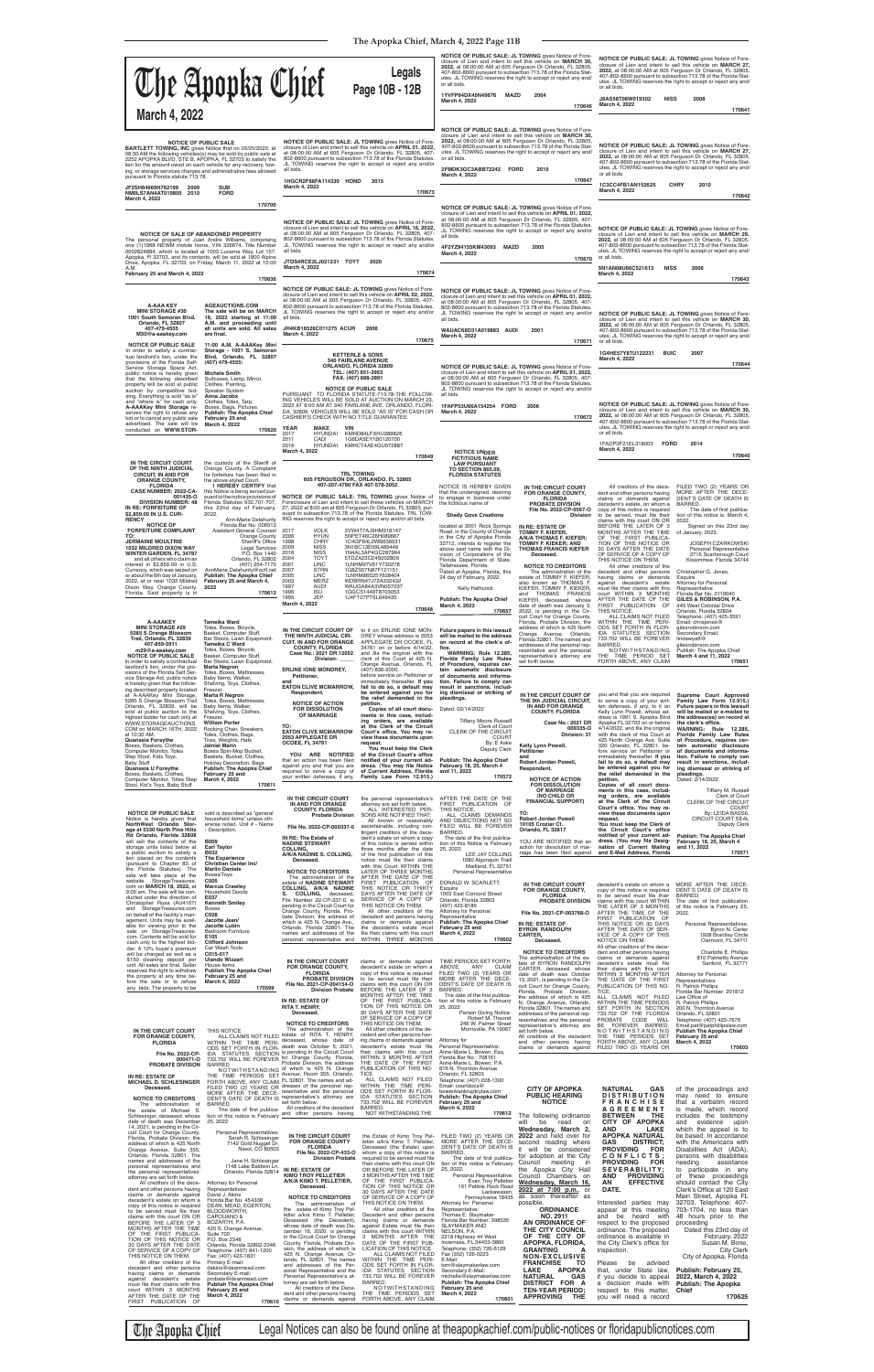```
dress is 1991 S. Apopka Blvd<br>Apopka FL 32703 on or before<br>4/14/2022, and file the original<br>with the clerk of this Court at<br>425 North Orange Ave, Suite<br>425 North Orange Ave, Suite<br>520 Orlando, FL 32801, be-<br>time service on
```

| March 4, 2022                                                                                                                                                                                                                                                                                                                                                                                                                                                                                                                                                                                                                                                                                                                                                                                                                          | The Apopka Chief                                                                                                                                                                                                                                                                                                                                                                                                                                                                                                                                                                                                                                                                                                                                  |                                                                                                                                                                                                                                                                                                                                                                                                                                                                                                                                                                           | <b>Legals</b><br>Page 10B - 12B                                                                                                                                                                                                                                                                                                                                                                                                                                                                                                                                                                                                                                                                                                                                                                            | 2022, at 08:00:00 AM at 605 Ferguson Dr Orlando, FL 32805,<br>or all bids.<br>1YVFP84DX45N49676<br><b>MAZD</b><br>March 4, 2022                                                                                                                                                                                                                                                                                                                                                                                                                                                                                                                                                         | <b>NOTICE OF PUBLIC SALE: JL TOWING gives Notice of Fore-</b><br>closure of Lien and intent to sell this vehicle on MARCH 30,<br>407-802-8600 pursuant to subsection 713.78 of the Florida Stat-<br>utes. JL TOWING reserves the right to accept or reject any and/<br>2004<br>170646                                                                                                                                                                                                                                                                        | or all bids.<br>J8AS58T08W019302<br><b>NISS</b><br>March 4, 2022                                                                                                                                                                                                                                                                                                                                                                                                                                                                                                                                                                                                                                                             | NOTICE OF PUBLIC SALE: JL TOWING gives Notice of Fore-<br>closure of Lien and intent to sell this vehicle on MARCH 27,<br>2022, at 08:00:00 AM at 605 Ferguson Dr Orlando, FL 32805,<br>407-802-8600 pursuant to subsection 713.78 of the Florida Stat-<br>utes. JL TOWING reserves the right to accept or reject any and/<br>2008<br>170641                                                                                                                                                                                                                                                                                                                   |
|----------------------------------------------------------------------------------------------------------------------------------------------------------------------------------------------------------------------------------------------------------------------------------------------------------------------------------------------------------------------------------------------------------------------------------------------------------------------------------------------------------------------------------------------------------------------------------------------------------------------------------------------------------------------------------------------------------------------------------------------------------------------------------------------------------------------------------------|---------------------------------------------------------------------------------------------------------------------------------------------------------------------------------------------------------------------------------------------------------------------------------------------------------------------------------------------------------------------------------------------------------------------------------------------------------------------------------------------------------------------------------------------------------------------------------------------------------------------------------------------------------------------------------------------------------------------------------------------------|---------------------------------------------------------------------------------------------------------------------------------------------------------------------------------------------------------------------------------------------------------------------------------------------------------------------------------------------------------------------------------------------------------------------------------------------------------------------------------------------------------------------------------------------------------------------------|------------------------------------------------------------------------------------------------------------------------------------------------------------------------------------------------------------------------------------------------------------------------------------------------------------------------------------------------------------------------------------------------------------------------------------------------------------------------------------------------------------------------------------------------------------------------------------------------------------------------------------------------------------------------------------------------------------------------------------------------------------------------------------------------------------|-----------------------------------------------------------------------------------------------------------------------------------------------------------------------------------------------------------------------------------------------------------------------------------------------------------------------------------------------------------------------------------------------------------------------------------------------------------------------------------------------------------------------------------------------------------------------------------------------------------------------------------------------------------------------------------------|--------------------------------------------------------------------------------------------------------------------------------------------------------------------------------------------------------------------------------------------------------------------------------------------------------------------------------------------------------------------------------------------------------------------------------------------------------------------------------------------------------------------------------------------------------------|------------------------------------------------------------------------------------------------------------------------------------------------------------------------------------------------------------------------------------------------------------------------------------------------------------------------------------------------------------------------------------------------------------------------------------------------------------------------------------------------------------------------------------------------------------------------------------------------------------------------------------------------------------------------------------------------------------------------------|----------------------------------------------------------------------------------------------------------------------------------------------------------------------------------------------------------------------------------------------------------------------------------------------------------------------------------------------------------------------------------------------------------------------------------------------------------------------------------------------------------------------------------------------------------------------------------------------------------------------------------------------------------------|
| pursuant to Florida statute 713.78.<br>JF2SH64669H762199<br>2009<br>NM0LS7AN4AT019805 2010<br>March 4, 2022                                                                                                                                                                                                                                                                                                                                                                                                                                                                                                                                                                                                                                                                                                                            | <b>NOTICE OF PUBLIC SALE</b><br><b>BARTLETT TOWING, INC gives Notice that on 03/25/2022, at</b><br>08:30 AM the following vehicles(s) may be sold by public sale at<br>2252 APOPKA BLVD, STE B, APOPKA, FL 32703 to satisfy the<br>lien for the amount owed on each vehicle for any recovery, tow-<br>ing, or storage services charges and administrative fees allowed<br><b>SUB</b><br><b>FORD</b>                                                                                                                                                                                                                                                                                                                                               | all bids.<br>1HGCR2F88FA114330 HOND<br>March 4, 2022                                                                                                                                                                                                                                                                                                                                                                                                                                                                                                                      | NOTICE OF PUBLIC SALE: JL TOWING gives Notice of Fore-<br>closure of Lien and intent to sell this vehicle on APRIL 01, 2022,<br>at 08:00:00 AM at 605 Ferguson Dr Orlando, FL 32805, 407-<br>802-8600 pursuant to subsection 713.78 of the Florida Statutes.<br>JL TOWING reserves the right to accept or reject any and/or<br>2015<br>170673                                                                                                                                                                                                                                                                                                                                                                                                                                                              | or all bids.<br>2FMDK3GC3ABB72242 FORD<br>March 4, 2022                                                                                                                                                                                                                                                                                                                                                                                                                                                                                                                                                                                                                                 | NOTICE OF PUBLIC SALE: JL TOWING gives Notice of Fore-<br>closure of Lien and intent to sell this vehicle on MARCH 30,<br>2022, at 08:00:00 AM at 605 Ferguson Dr Orlando, FL 32805,<br>407-802-8600 pursuant to subsection 713.78 of the Florida Stat-<br>utes. JL TOWING reserves the right to accept or reject any and/<br>2010<br>170647                                                                                                                                                                                                                 | or all bids.<br>1C3CC4FB1AN152625<br>March 4, 2022                                                                                                                                                                                                                                                                                                                                                                                                                                                                                                                                                                                                                                                                           | NOTICE OF PUBLIC SALE: JL TOWING gives Notice of Fore-<br>closure of Lien and intent to sell this vehicle on MARCH 27,<br>2022, at 08:00:00 AM at 605 Ferguson Dr Orlando, FL 32805,<br>407-802-8600 pursuant to subsection 713.78 of the Florida Stat-<br>utes. JL TOWING reserves the right to accept or reject any and/<br><b>CHRY</b><br>2010<br>170642                                                                                                                                                                                                                                                                                                    |
| A.M.<br>February 25 and March 4, 2022                                                                                                                                                                                                                                                                                                                                                                                                                                                                                                                                                                                                                                                                                                                                                                                                  | 170709<br>NOTICE OF SALE OF ABANDONED PROPERTY<br>The personal property of Juan Andre Williams, comprising<br>one (1)1968 NEWM mobile home, VIN 326674, Title Number<br>0002824884, which is located at 1003 Lucerne Way, Lot 157,<br>Apopka, FI 32703, and its contents, will be sold at 1800 Alpine<br>Drive, Apopka, FL 32703, on Friday, March 11, 2022 at 10:00<br>170636                                                                                                                                                                                                                                                                                                                                                                    | all bids.<br>JTDS4RCE2LJ021231 TOYT<br>March 4, 2022                                                                                                                                                                                                                                                                                                                                                                                                                                                                                                                      | <b>NOTICE OF PUBLIC SALE: JL TOWING gives Notice of Fore-</b><br>closure of Lien and intent to sell this vehicle on APRIL 16, 2022,<br>at 08:00:00 AM at 605 Ferguson Dr Orlando, FL 32805, 407-<br>802-8600 pursuant to subsection 713.78 of the Florida Statutes.<br>JL TOWING reserves the right to accept or reject any and/or<br>2020<br>170674                                                                                                                                                                                                                                                                                                                                                                                                                                                       | all bids.<br>4F2YZ94155KM43093 MAZD<br>March 4, 2022                                                                                                                                                                                                                                                                                                                                                                                                                                                                                                                                                                                                                                    | <b>NOTICE OF PUBLIC SALE: JL TOWING gives Notice of Fore-</b><br>closure of Lien and intent to sell this vehicle on APRIL 01, 2022,<br>at 08:00:00 AM at 605 Ferguson Dr Orlando, FL 32805, 407-<br>802-8600 pursuant to subsection 713.78 of the Florida Statutes.<br>JL TOWING reserves the right to accept or reject any and/or<br>2005<br>170670                                                                                                                                                                                                         | or all bids.<br>5N1AN08U66C521613<br><b>NISS</b><br>March 4, 2022                                                                                                                                                                                                                                                                                                                                                                                                                                                                                                                                                                                                                                                            | NOTICE OF PUBLIC SALE: JL TOWING gives Notice of Fore-<br>closure of Lien and intent to sell this vehicle on MARCH 29,<br>2022, at 08:00:00 AM at 605 Ferguson Dr Orlando, FL 32805,<br>407-802-8600 pursuant to subsection 713.78 of the Florida Stat-<br>utes. JL TOWING reserves the right to accept or reject any and/<br>2006<br>170643                                                                                                                                                                                                                                                                                                                   |
| <b>A-AAA KEY</b><br><b>MINI STORAGE #30</b><br>1001 South Semoran Blvd.<br>Orlando, FL 32807<br>407-479-4555<br>M30@a-aaakey.com                                                                                                                                                                                                                                                                                                                                                                                                                                                                                                                                                                                                                                                                                                       | <b>AGEAUCTIONS.COM</b><br>The sale will be on MARCH<br>16, 2022 starting at 11:00<br>A.M. and proceeding until<br>all units are sold. All sales<br>are final.                                                                                                                                                                                                                                                                                                                                                                                                                                                                                                                                                                                     | all bids.<br>JH4KB16526C011275 ACUR<br>March 4, 2022                                                                                                                                                                                                                                                                                                                                                                                                                                                                                                                      | NOTICE OF PUBLIC SALE: JL TOWING gives Notice of Fore-<br>closure of Lien and intent to sell this vehicle on APRIL 02, 2022,<br>at 08:00:00 AM at 605 Ferguson Dr Orlando, FL 32805, 407-<br>802-8600 pursuant to subsection 713.78 of the Florida Statutes.<br>JL TOWING reserves the right to accept or reject any and/or<br>2006<br>170675                                                                                                                                                                                                                                                                                                                                                                                                                                                              | all bids.<br>WAUAC68D31A019883 AUDI<br>March 4, 2022                                                                                                                                                                                                                                                                                                                                                                                                                                                                                                                                                                                                                                    | <b>NOTICE OF PUBLIC SALE: JL TOWING gives Notice of Fore-</b><br>closure of Lien and intent to sell this vehicle on <b>APRIL 01, 2022,</b><br>at 08:00:00 AM at 605 Ferguson Dr Orlando, FL 32805, 407-<br>802-8600 pursuant to subsection 713.78 of the Florida Statutes.<br>JL TOWING reserves the right to accept or reject any and/or<br>2001<br>170671                                                                                                                                                                                                  | or all bids.                                                                                                                                                                                                                                                                                                                                                                                                                                                                                                                                                                                                                                                                                                                 | NOTICE OF PUBLIC SALE: JL TOWING gives Notice of Fore-<br>closure of Lien and intent to sell this vehicle on MARCH 30,<br>2022, at 08:00:00 AM at 605 Ferguson Dr Orlando, FL 32805,<br>407-802-8600 pursuant to subsection 713.78 of the Florida Stat-<br>utes. JL TOWING reserves the right to accept or reject any and/                                                                                                                                                                                                                                                                                                                                     |
| <b>NOTICE OF PUBLIC SALE</b><br>In order to satisfy a contrac-<br>tual landlord's lien, under the<br>provisions of the Florida Self-<br>Service Storage Space Act,<br>public notice is hereby given<br>that the following described<br>property will be sold at public<br>auction by competitive bid-<br>ding. Everything is sold "as is"<br>and "where is" for cash only.<br>A-AAAKey Mini Storage re-<br>serves the right to refuse any<br>bid or to cancel any public sale<br>advertised. The sale will be<br>conducted on WWW.STOR-                                                                                                                                                                                                                                                                                                | 11:00 A.M. A-AAAKey Mini<br>Storage - 1001 S. Semoran<br>Blvd, Orlando, FL 32807<br>(407) 479-4555:<br><b>Michele Smith</b><br>Suitcases, Lamp, Mirror,<br>Clothes, Painting,<br>Speaker System<br>Anna Jacobs<br>Clothes, Totes, Tarp,<br>Boxes, Bags, Pictures<br><b>Publish: The Apopka Chief</b><br>February 25 and<br>March 4, 2022<br>170620                                                                                                                                                                                                                                                                                                                                                                                                | CASHIER'S CHECK WITH NO TITLE GUARANTEE.<br>YEAR<br><b>MAKE</b><br><b>VIN</b><br>2017<br>2011<br>CADI<br>2016                                                                                                                                                                                                                                                                                                                                                                                                                                                             | <b>KETTERLE &amp; SONS</b><br><b>340 FAIRLANE AVENUE</b><br>ORLANDO, FLORIDA 32809<br>TEL: (407) 851-3953<br>FAX: (407) 888-2891<br><b>NOTICE OF PUBLIC SALE</b><br>PURSUANT TO FLORIDA STATUTE-713.78-THE FOLLOW-<br>ING VEHICLES WILL BE SOLD AT AUCTION ON MARCH 23,<br>2022 AT 8:00 AM AT 340 FAIRLANE AVE. ORLANDO, FLORI-<br>DA, 32809. VEHICLES WILL BE SOLD "AS IS" FOR CASH OR<br>HYUNDAI KMHD84LFXHU289826<br>1G6DA5EY1B0120700<br>HYUNDAI KMHCT4AE4GU072887                                                                                                                                                                                                                                                                                                                                     | all bids.<br>1FAFP53U66A154254 FORD<br>March 4, 2022                                                                                                                                                                                                                                                                                                                                                                                                                                                                                                                                                                                                                                    | NOTICE OF PUBLIC SALE: JL TOWING gives Notice of Fore-<br>closure of Lien and intent to sell this vehicle on APRIL 01, 2022,<br>at 08:00:00 AM at 605 Ferguson Dr Orlando, FL 32805, 407-<br>802-8600 pursuant to subsection 713.78 of the Florida Statutes.<br>JL TOWING reserves the right to accept or reject any and/or<br>2006<br>170672                                                                                                                                                                                                                | 1G4HE57Y87U122231<br><b>BUIC</b><br>March 4, 2022<br>or all bids.<br>1FADP3F21EL318003<br><b>FORD</b>                                                                                                                                                                                                                                                                                                                                                                                                                                                                                                                                                                                                                        | 2007<br>170644<br>NOTICE OF PUBLIC SALE: JL TOWING gives Notice of Fore-<br>closure of Lien and intent to sell this vehicle on MARCH 30,<br>2022, at 08:00:00 AM at 605 Ferguson Dr Orlando, FL 32805,<br>407-802-8600 pursuant to subsection 713.78 of the Florida Stat-<br>utes. JL TOWING reserves the right to accept or reject any and/<br>2014                                                                                                                                                                                                                                                                                                           |
| IN THE CIRCUIT COURT<br>OF THE NINTH JUDICIAL<br><b>CIRCUIT, IN AND FOR</b><br><b>ORANGE COUNTY,</b><br><b>FLORIDA</b><br><b>CASE NUMBER: 2022-CA-</b><br>001435-O<br><b>DIVISION NUMBER: 48</b><br>IN RE: FORFEITURE OF<br>\$2,859.00 IN U.S. CUR-<br><b>RENCY</b><br><b>NOTICE OF</b><br><b>FORFEITURE COMPLAINT</b><br>TO:<br><b>JERMAINE MOULTRIE</b><br>1032 MILDRED DIXON WAY<br><b>WINTER GARDEN, FL 34787</b><br>and all others who claim an<br>interest in \$2,859.00 in U.S.<br>Currency, which was seized on<br>or about the 6th day of January,<br>2022, at or near 1032 Mildred<br>Dixon Way, Orange County,<br>Florida. Said property is in                                                                                                                                                                              | the custody of the Sheriff of<br>Orange County. A Complaint<br>for forfeiture has been filed in<br>the above-styled Court.<br>I HEREBY CERTIFY that<br>this Notice is being served pur-<br>suant to the notice provisions of<br>Florida Statutes 932.701-707.<br>this 22nd day of February,<br>2022.<br>Ann-Marie Delahunty<br>Florida Bar No. 006513<br>Assistant General Counsel<br>Orange County<br>Sheriff's Office<br><b>Legal Services</b><br>P.O. Box 1440<br>Orlando, FL 32802<br>(407) 254-7170<br>AnnMarie.Delahunty@ocfl.net<br><b>Publish: The Apopka Chief</b><br>February 25 and March 4,<br>2022<br>170613                                                                                                                         | March 4, 2022<br>ING reserves the right to accept or reject any and/or all bids.<br>2017<br><b>VOLK</b><br><b>HYUN</b><br>2006<br><b>CHRY</b><br>1998<br><b>NISS</b><br>2009<br>2016<br><b>NISS</b><br>2004<br><b>TOYT</b><br><b>LINC</b><br>2001<br>2007<br><b>STRN</b><br>2005<br><b>LINC</b><br><b>MERZ</b><br>2002<br>1997<br><b>AUDI</b><br><b>ISU</b><br>1996<br>JEP<br>1995<br>March 4, 2022                                                                                                                                                                       | 170649<br><b>TRL TOWING</b><br>605 FERGUSON DR., ORLANDO, FL 32805<br>407-207-4790 FAX 407-578-3052<br>NOTICE OF PUBLIC SALE: TRL TOWING gives Notice of<br>Foreclosure of Lien and intent to sell these vehicles on MARCH<br>27, 2022 at 8:00 am at 605 Ferguson Dr Orlando, FL 32805, pur-<br>suant to subsection 713.78 of the Florida Statutes. TRL TOW-<br>3VW4T7AJ9HM318147<br>5NPET46C26H089667<br>1C4GP64L2WB636031<br>3N1BC13E09L489449<br>1N4AL3AP4GC287964<br>5TDZA23C24S002809<br>1LNHM97V61Y730278<br>1G8ZS57N87F121151<br>1LNHM86S25Y628404<br>WDBRN47J72A332432<br>WAUGA84A3VN057037<br>1GGCS1448T8703053<br>1J4FT27P7SL649435<br>170648                                                                                                                                                    | <b>NOTICE UNDER</b><br><b>FICTITIOUS NAME</b><br><b>LAW PURSUANT</b><br><b>TO SECTION 865.09,</b><br><b>FLORIDA STATUTES</b><br>NOTICE IS HEREBY GIVEN<br>that the undersigned, desiring<br>to engage in business under<br>the fictitious name of<br><b>Shady Gove Creations</b><br>located at 2001 Rock Springs<br>Road, in the County of Orange<br>in the City of Apopka Florida<br>32712, intends to register the<br>above said name with the Di-<br>vision of Corporations of the<br>Florida Department of State,<br>Tallahassee, Florida.<br>Dated at Apopka, Florida, this<br>24 day of February, 2022.<br>Kelly Hathcock<br>Publish: The Apopka Chief<br>March 4, 2022<br>170657 | IN THE CIRCUIT COURT<br>FOR ORANGE COUNTY,<br><b>FLORIDA</b><br><b>PROBATE DIVISION</b><br>File No. 2022-CP-0567-O<br><b>Division</b><br>IN RE: ESTATE OF<br><b>TOMMY F. KIEFER.</b><br>A/K/A THOMAS F. KIEFER:<br><b>TOMMY F. KIEKER; AND</b><br><b>THOMAS FRANCIS KIEFER</b><br>Deceased.<br><b>NOTICE TO CREDITORS</b><br>The administration of the<br>estate of TOMMY F. KIEFER,<br>also known as THOMAS F.<br>KIEFER. TOMMY F. KIEKER.<br>and THOMAS FRANCIS<br>KIEFER, deceased, whose<br>date of death was January 3,<br>2022, is pending in the Cir- | March 4, 2022<br>All creditors of the dece-<br>dent and other persons having<br>claims or demands against<br>decedent's estate, on whom a<br>copy of this notice is required<br>to be served, must file their<br>claims with this court ON OR<br>BEFORE THE LATER OF 3<br>MONTHS AFTER THE TIME<br>OF THE FIRST PUBLICA-<br>TION OF THIS NOTICE OR<br>30 DAYS AFTER THE DATE<br>OF SERVICE OF A COPY OF<br>THIS NOTICE ON THEM.<br>All other creditors of the<br>decedent and other persons<br>having claims or demands<br>against decedent's estate<br>must file their claims with this<br>court WITHIN 3 MONTHS<br>AFTER THE DATE OF THE<br>FIRST PUBLICATION OF<br>THIS NOTICE.                                           | 170645<br>FILED TWO (2) YEARS OR<br>MORE AFTER THE DECE-<br>DENT'S DATE OF DEATH IS<br>BARRED.<br>The date of first publica-<br>tion of this notice is: March 4,<br>2022.<br>Signed on this 23rd day<br>of January, 2022.<br><b>JOSEPH CZARKOWSKI</b><br>Personal Representative<br>2715 Scarborough Court<br>Kissimmee. Florida 34744<br>Christopher G. Jones,<br>Esquire<br>Attorney for Personal<br>Representative<br>Florida Bar No. 0119040<br>GILES & ROBINSON, P.A.<br>445 West Colonial Drive<br>Orlando, Florida 32804                                                                                                                                |
| <b>A-AAAKEY</b><br><b>MINI STORAGE #29</b><br>5285 S Orange Blossom<br>Trail, Orlando, FL 32839<br>407-859-5911<br>m29@a-aaakey.com<br><b>NOTICE OF PUBLIC SALE</b><br>In order to satisfy a contractual<br>landlord's lien, under the pro-<br>visions of the Florida Self Ser-<br>vice Storage Act, public notice<br>is hereby given that the follow-<br>ing described property located<br>at A-AAAKey Mini Storage,<br>5285 S Orange Blossom Trail<br>Orlando, FL 32839, will be<br>sold at public auction to the<br>highest bidder for cash only at<br>WWW.STORAGEAUCTIONS.<br>COM on MARCH 16TH, 2022<br>at 10:30 AM.<br>Quanasia Forsythe<br>Boxes, Baskets, Clothes,<br>Computer Monitor, Totes<br>Step Stool, Kids Toys,<br><b>Baby Stuff</b><br>Quanasia U Forsythe<br>Boxes, Baskets, Clothes,<br>Computer Monitor Totos Step | <b>Tameika Ward</b><br>Totes, Boxes, Bicycle,<br>Basket, Computer Stuff,<br>Bar Stools, Lawn Equipment.<br><b>Tameika C Ward</b><br>Totes, Boxes, Bicycle,<br>Basket, Computer Stuff,<br>Bar Stools, Lawn Equipment.<br>Marta Negron<br>Totes, Boxes, Mattresses,<br>Baby Items, Walker,<br>Shelving, Toys, Clothes,<br>Freezer.<br><b>Marta R Negron</b><br>Totes, Boxes, Mattresses,<br>Baby Items, Walker,<br>Shelving, Toys, Clothes,<br>Freezer.<br><b>William Porter</b><br>Rocking Chair, Sneakers,<br>Totes, Clothes, Bags,<br>Tires, Weights, Hats<br><b>Jalniel Marin</b><br>Boxes Spin-Mop Bucket,<br>Baskets, Bucket, Clothes,<br><b>Holiday Decoration, Bags</b><br>Publish: The Apopka Chief<br>February 25 and<br>March $A$ , 2022 | IN THE CIRCUIT COURT OF<br>THE NINTH JUDICIAL CIR-<br><b>CUIT. IN AND FOR ORANGE</b><br><b>COUNTY, FLORIDA</b><br>Case No.: 2021 DR 12052<br>Division:<br><b>ERLINE IONE MONDREY,</b><br>Petitioner,<br>and<br><b>EATON CLIVE MCMARROW,</b><br>Respondent.<br><b>NOTICE OF ACTION</b><br><b>FOR DISSOLUTION</b><br>OF MARRIAGE<br>TO:<br><b>EATON CLIVE MCMARROW</b><br>2053 APPLEGATE DR<br><b>OCOEE, FL 34761</b><br>YOU ARE NOTIFIED<br>that an action has been filed<br>against you and that you are<br>required to serve a copy of<br>your written defenses, if any, | to it on ERLINE IONE MON-<br>DREY whose address is 2053<br>APPLEGATE DR OCOEE, FL<br>34761 on or before 4/14/22,<br>and file the original with the<br>clerk of this Court at 425 N.<br>Orange Avenue, Orlando, FL<br>$(407)$ 836-2000.<br>before service on Petitioner or<br>immediately thereafter. If you<br>fail to do so, a default may<br>be entered against you for<br>the relief demanded in the<br>petition.<br>Copies of all court docu-<br>ments in this case, includ-<br>ing orders, are available<br>at the Clerk of the Circuit<br>Court's office. You may re-<br>view these documents upon<br>request.<br>You must keep the Clerk<br>of the Circuit Court's office<br>notified of your current ad-<br>dress. (You may file Notice<br>of Current Address, Florida<br>Family Law Form 12.915.) | Future papers in this lawsuit<br>will be mailed to the address<br>on record at the clerk's of-<br>fice.<br><b>WARNING: Rule 12.285,</b><br>Florida Family Law Rules<br>of Procedure, requires cer-<br>tain automatic disclosure<br>of documents and informa-<br>tion. Failure to comply can<br>result in sanctions, includ-<br>ing dismissal or striking of<br>pleadings.<br>Dated: 02/14/2022<br><b>Tiffany Moore Russell</b><br>Clerk of Court<br>CLERK OF THE CIRCUIT<br><b>COURT</b><br>By: E Aske<br><b>Deputy Clerk</b><br><b>Publish: The Apopka Chief</b><br>February 18, 25, March 4<br>and 11, 2022<br>170572                                                                 | cuit Court for Orange County,<br>Florida, Probate Division, the<br>address of which is 425 North<br>Orange Avenue, Orlando,<br>Florida 32801. The names and<br>addresses of the personal rep-<br>resentative and the personal<br>representative's attorney are<br>set forth below.<br>IN THE CIRCUIT COURT OF<br>THE 9th JUDICIAL CIRCUIT,<br>IN AND FOR ORANGE<br><b>COUNTY, FLORIDA</b><br>Case No.: 2021 DR<br>009335-0<br>Division: 31<br>Kelly Lynn Powell,<br><b>Petitioner</b><br>and<br>Robert Jordan Powell,<br>Respondent.<br>NOTICE OF ACTION     | ALL CLAIMS NOT FILED<br>WITHIN THE TIME PERI-<br>ODS SET FORTH IN FLOR-<br>IDA STATUTES SECTION<br>733.702 WILL BE FOREVER<br>BARRED.<br>NOTWITHSTANDING<br>THE TIME PERIOD SET<br>FORTH ABOVE, ANY CLAIM<br>you and that you are required<br>to serve a copy of your writ-<br>ten defenses, if any, to it on<br>Kelly Lynn Powell, whose ad-<br>dress is 1991 S. Apopka Blvd<br>Apopka FL 32703 on or before<br>4/14/2022, and file the original<br>with the clerk of this Court at<br>425 North Orange Ave, Suite<br>320 Orlando, FL 32801, be-<br>fore service on Petitioner or<br>immediately thereafter. If you<br>fail to do so, a default may<br>be entered against you for<br>the relief demanded in the<br>netition | Telephone: (407) 425-3591<br>Email: chrisjones@<br>gilesrobinson.com<br>Secondary Email:<br>lindawyatt@<br>gilesrobinson.com<br>Publish: The Apopka Chief<br>March 4 and 11, 2022<br>170651<br>Supreme Court Approved<br>Family Law Form 12.915.)<br>Future papers in this lawsuit<br>will be mailed or e-mailed to<br>the address(es) on record at<br>the clerk's office.<br>WARNING: Rule 12.285,<br>Florida Family Law Rules<br>of Procedure, requires cer-<br>tain automatic disclosure<br>of documents and informa-<br>tion. Failure to comply can<br>result in sanctions, includ-<br>ing dismissal or striking of<br>pleadings.<br>.<br>Dated: 2/14/2022 |

highest bidder for cash only at<br>NWW.STORAGEAUCTIONS.<br>COM on MARCH 16TH, 2022<br>**Quanasia Forsythe**<br>Boxes, Baskets, Clothes,<br>Computer Monitor, Totes<br>Step Stool, Kids Toys,<br>**Quanasia U Forsythe**<br>Boxes, Baskets, Clothes,<br>Comput

Freezer.<br>William Porter<br>Rocking Chair, Sneakers,<br>Tires, Vieights, Hats<br>Tires, Weights, Hats<br>Janiel Marin<br>Baskets, Bucket, Clothes,<br>Baskets, Bucket, Clothes,<br>Publish: The Apopka Chief<br>February 25 and<br>March 4, 2022 **TO: EATON CLIVE MCMARROW 2053 APPLEGATE DR OCOEE, FL 34761 YOU ARE NOTIFIED**<br>that an action has been filed<br>against you and that you are<br>required to serve a copy of<br>your written defenses, if any,

| DUXES, DASKEIS, CIUIHES,<br>Computer Monitor, Totes Step March 4, 2022 | <b>February 25 and</b>                                                | your written defenses, if any,                                                                          | Family Law Form 12.915.)                                        | 170572                                                            | <b>NOTICE OF ACTION</b>                                              | the relief definanced in the<br>petition.                       | pleadings.<br>Dated: 2/14/2022                                  |
|------------------------------------------------------------------------|-----------------------------------------------------------------------|---------------------------------------------------------------------------------------------------------|-----------------------------------------------------------------|-------------------------------------------------------------------|----------------------------------------------------------------------|-----------------------------------------------------------------|-----------------------------------------------------------------|
| Stool, Kid's Toys, Baby Stuff                                          | 170611                                                                |                                                                                                         |                                                                 |                                                                   | <b>FOR DISSOLUTION</b>                                               | Copies of all court docu-                                       |                                                                 |
|                                                                        |                                                                       |                                                                                                         |                                                                 |                                                                   | OF MARRIAGE<br>(NO CHILD OR                                          | ments in this case, includ-<br>ing orders, are available        | Tiffany M. Russell<br>Clerk of Court                            |
|                                                                        |                                                                       | IN THE CIRCUIT COURT<br>IN AND FOR ORANGE                                                               | the personal representative's<br>attorney are set forth below.  | AFTER THE DATE OF THE<br>FIRST PUBLICATION OF                     | <b>FINANCIAL SUPPORT)</b>                                            | at the Clerk of the Circuit                                     | <b>CLERK OF THE CIRCUIT</b>                                     |
| <b>NOTICE OF PUBLIC SALE</b>                                           | sold is described as "general                                         | <b>COUNTY, FLORIDA</b>                                                                                  | ALL INTERESTED PER-                                             | THIS NOTICE.                                                      | TO:                                                                  | Court's office. You may re-<br>view these documents upon        | <b>COURT</b><br>By: LEIDA BASSIL                                |
| Notice is hereby given that                                            | household items" unless oth-                                          | <b>Probate Division</b>                                                                                 | SONS ARE NOTIFIED THAT:<br>All known or reasonably              | ALL CLAIMS DEMANDS<br>AND OBJECTIONS NOT SO                       | <b>Robert Jordan Powell</b>                                          | request.                                                        | <b>CIRCUIT COURT SEAL</b>                                       |
| NorthWest Orlando Stor-                                                | erwise noted. Unit # - Name                                           | File No. 2022-CP-000337-0                                                                               | ascertainable, including con-                                   | FILED WILL BE FOREVER                                             | 10105 Crozier Ct.                                                    | You must keep the Clerk of                                      | <b>Deputy Clerk</b>                                             |
| age at 5330 North Pine Hills                                           | - Description:                                                        |                                                                                                         | tingent creditors of the dece-                                  | BARRED.                                                           | Orlando, FL 32817                                                    | the Circuit Court's office                                      |                                                                 |
| Rd Orlando, Florida 32808<br>will sell the contents of the             | <b>B009</b>                                                           | IN RE: The Estate of<br><b>NADINE STEWART</b>                                                           | dent's estate on whom a copy                                    | The date of the first publica-                                    | YOU ARE NOTIFIED that an                                             | notified of your current ad-<br>dress. (You may file Desig-     | <b>Publish: The Apopka Chief</b><br>February 18, 25, March 4    |
| storage units listed below at                                          | <b>Earl Taylor</b>                                                    | COLLING,                                                                                                | of this notice is served within<br>three months after the date  | tion of this Notice is February<br>25, 2022.                      | action for dissolution of mar-                                       | nation of Current Mailing                                       | and 11, 2022                                                    |
| a public auction to satisfy a<br>lien placed on the contents           | B032                                                                  | A/K/A NADINE S. COLLING,                                                                                | of the first publication of this                                | LEE JAY COLLING                                                   | riage has been filed against                                         | and E-Mail Address, Florida                                     | 170571                                                          |
| (pursuant to Chapter 83 of                                             | The Experience<br>Christian Center Inc/                               | Deceased.                                                                                               | notice must file their claims                                   | 1680 Algonquin Traill                                             |                                                                      |                                                                 |                                                                 |
| the Florida Statutes). The                                             | <b>Marlin Daniels</b>                                                 | <b>NOTICE TO CREDITORS</b>                                                                              | with this Court WITHIN THE<br>LATER OF THREE MONTHS             | Maitland, FL 32751<br>Personal Representative                     |                                                                      |                                                                 |                                                                 |
| sale will take place at the<br>website StorageTreasures.               | Boxes/Toys<br>C005                                                    | The administration of the                                                                               | AFTER THE DATE OF THE                                           |                                                                   |                                                                      |                                                                 |                                                                 |
| com on <b>MARCH 18, 2022</b> , at                                      | <b>Marcus Crawley</b>                                                 | estate of NADINE STEWART<br>COLLING, A/K/A NADINE                                                       | FIRST PUBLICATION OF<br>THIS NOTICE OR THIRTY                   | DONALD W. SCARLETT,<br>Esquire                                    | IN THE CIRCUIT COURT                                                 | decedent's estate on whom a                                     | MORE AFTER THE DECE-                                            |
| 9:00 am. The sale will be con-                                         | <b>Household Goods</b>                                                | S. COLLING, deceased,                                                                                   | DAYS AFTER THE DATE OF                                          | 1003 East Concord Street                                          | FOR ORANGE COUNTY,<br><b>FLORIDA</b>                                 | copy of this notice is required<br>to be served must file their | DENT'S DATE OF DEATH IS<br>BARRED.                              |
| ducted under the direction of<br>Christopher Rosa (AU4167)             | E037<br><b>Kenneth Smiley</b>                                         | File Number 22-CP-337-0, is                                                                             | SERVICE OF A COPY OF                                            | Orlando, Florida 32803                                            | PROBATE DIVISION                                                     | claims with this court WITHIN                                   | The date of first publication                                   |
| and StorageTreasures.com                                               | Boxes                                                                 | pending in the Circuit Court for<br>Orange County, Florida, Pro-                                        | THIS NOTICE ON THEM.<br>All other creditors of the              | (407) 422-8189<br><b>Attorney for Personal</b>                    |                                                                      | THE LATER OF 3 MONTHS                                           | of this notice is February 25,                                  |
| on behalf of the facility's man-                                       | C028                                                                  | bate Division, the address of                                                                           | decedent and persons having                                     | Representative                                                    | File No. 2021-CP-003768-O                                            | AFTER THE TIME OF THE<br>FIRST PUBLICATION OF                   | 2022.                                                           |
| agement. Units may be avail-<br>able for viewing prior to the          | Jacotte Jean/<br>Jacotte Lubin                                        | which is 425 N. Orange Ave.,                                                                            | claims or demands against                                       | <b>Publish: The Apopka Chief</b>                                  | IN RE: ESTATE OF                                                     | THIS NOTICE OR 30 DAYS                                          | Personal Representatives:                                       |
| sale on StorageTreasures.                                              | <b>Bedroom Furniture</b>                                              | Orlando, Florida 32801. The<br>names and addresses of the                                               | the decedent's estate must<br>file their claims with this court | February 25 and<br>March 4, 2022                                  | <b>BYRON RANDOLPH</b>                                                | AFTER THE DATE OF SER-                                          | Byron N. Carter                                                 |
| com. Contents will be sold for                                         | E105                                                                  | personal representative and                                                                             | WITHIN THREE MONTHS                                             | 170602                                                            | <b>CARTER,</b><br>Deceased.                                          | VICE OF A COPY OF THIS<br>NOTICE ON THEM.                       | 1928 Brantley Circle<br>Clermont, FL 34711                      |
| cash only to the highest bid-<br>der. A 10% buyer's premium            | <b>Clifford Johnson</b><br>Car Wash Tools                             |                                                                                                         |                                                                 |                                                                   |                                                                      | All other creditors of the dece-                                |                                                                 |
| will be charged as well as a                                           | C015-017                                                              |                                                                                                         |                                                                 |                                                                   | <b>NOTICE TO CREDITORS</b>                                           | dent and other persons having                                   | Charlotte E. Phillips                                           |
| \$150 cleaning deposit per                                             | <b>Ulando Wizzart</b>                                                 | IN THE CIRCUIT COURT                                                                                    | claims or demands against                                       | TIME PERIODS SET FORTH                                            | The administration of the es-<br>tate of BYRON RANDOLPH              | claims or demands against<br>decedent's estate must file        | 810 Palmetto Avenue<br>Sanford, FL 32771                        |
| unit. All sales are final. Seller<br>reserves the right to withdraw    | House items<br><b>Publish The Apopka Chief</b>                        | FOR ORANGE COUNTY,                                                                                      | decedent's estate on whom a                                     | ABOVE,<br>ANY CLAIM                                               | CARTER, deceased, whose                                              | their claims with this court                                    |                                                                 |
| the property at any time be-                                           | February 25 and                                                       | <b>FLORIDA</b><br><b>PROBATE DIVISION</b>                                                               | copy of this notice is required<br>to be served must file their | FILED TWO (2) YEARS OR<br>MORE AFTER THE DECE-                    | date of death was October                                            | WITHIN 3 MONTHS AFTER                                           | <b>Attorney for Personal</b>                                    |
| fore the sale or to refuse                                             | March 4, 2022                                                         | File No. 2021-CP-004154-O                                                                               | claims with this court ON OR                                    | DENT'S DATE OF DEATH IS                                           | 13, 2021, is pending in the Cir-<br>cuit Court for Orange County,    | THE DATE OF THE FIRST<br>PUBLICATION OF THIS NO-                | Representatives:<br>R. Patrick Phillips                         |
| any bids. The property to be                                           | 170599                                                                | <b>Division Probate</b>                                                                                 | BEFORE THE LATER OF 3                                           | BARRED.                                                           | Florida, Probate Division,                                           | TICE.                                                           | Florida Bar Number: 201812                                      |
|                                                                        |                                                                       | IN RE: ESTATE OF                                                                                        | MONTHS AFTER THE TIME<br>OF THE FIRST PUBLICA-                  | The date of the first publica-<br>tion of this notice is February | the address of which is 425                                          | ALL CLAIMS NOT FILED                                            | Law Office of                                                   |
|                                                                        |                                                                       | RITA T. HENRY,                                                                                          | TION OF THIS NOTICE OR                                          | 25, 2022                                                          | N. Orange Avenue, Orlando,<br>Florida 32801. The names and           | WITHIN THE TIME PERIODS<br>SET FORTH IN SECTION                 | R. Patrick Phillips<br>200 N. Thornton Avenue                   |
|                                                                        |                                                                       | Deceased.                                                                                               | 30 DAYS AFTER THE DATE                                          | Person Giving Notice:                                             | addresses of the personal rep-                                       | 733.702 OF THE FLORIDA                                          | Orlando, FL 32801                                               |
|                                                                        |                                                                       | <b>NOTICE TO CREDITORS</b>                                                                              | OF SERVICE OF A COPY OF<br>THIS NOTICE ON THEM.                 | Robert M. Theoret<br>246 W. Palmer Street                         | resentatives and the personal                                        | PROBATE CODE WILL<br>FOREVER BARRED.                            | Telephone: (407) 425-7676                                       |
| IN THE CIRCUIT COURT                                                   | THIS NOTICE.                                                          | The administration of the                                                                               | All other creditors of the de-                                  | Morrisville, PA 19067                                             | representative's attorney are<br>set forth below.                    | BE<br>NOTWITHSTANDING                                           | Email:pat@patphillipslaw.com<br><b>Publish The Apopka Chief</b> |
| <b>FOR ORANGE COUNTY,</b>                                              |                                                                       | ALL CLAIMS NOT FILED estate of RITA T. HENRY,                                                           | cedent and other persons hav-                                   |                                                                   | All creditors of the decedent                                        | THE TIME PERIODS SET                                            | February 25 and                                                 |
| <b>FLORIDA</b>                                                         |                                                                       | WITHIN THE TIME PERI- deceased, whose date of<br>ODS SET FORTH IN FLOR- death was October 5, 2021,      | ing claims or demands against<br>decedent's estate must file    | Attorney for<br>Personal Representative:                          | and other persons having                                             | FORTH ABOVE, ANY CLAIM                                          | March 4, 2022                                                   |
| File No. 2022-CP-                                                      |                                                                       | IDA STATUTES SECTION is pending in the Circuit Court                                                    | their claims with this court                                    | Anne-Marie L. Bowen, Esq.                                         | claims or demands against                                            | FILED TWO (2) YEARS OR                                          | 170603                                                          |
| 000471-0                                                               |                                                                       | 733.702 WILL BE FOREVER for Orange County, Florida,                                                     | WITHIN 3 MONTHS AFTER                                           | Florida Bar No.: 708161                                           |                                                                      |                                                                 |                                                                 |
| PROBATE DIVISION                                                       | BARRED.                                                               | Probate Division, the address<br>NOTWITHSTANDING of which is 425 N. Orange                              | THE DATE OF THE FIRST<br>PUBLICATION OF THIS NO-                | Anne-Marie L. Bowen, P.A.<br>816 N. Thornton Avenue               |                                                                      |                                                                 |                                                                 |
| IN RE: ESTATE OF                                                       |                                                                       | THE TIME PERIODS SET Avenue, Room 355, Orlando,                                                         | TICE.                                                           | Orlando, FL 32803                                                 |                                                                      |                                                                 |                                                                 |
| <b>MICHAEL D. SCHLESINGER</b>                                          | FORTH ABOVE, ANY CLAIM FL 32801. The names and ad-                    |                                                                                                         | ALL CLAIMS NOT FILED<br>WITHIN THE TIME PERI-                   | Telephone: (407) 228-1300<br>Email: courtdocs@                    |                                                                      |                                                                 |                                                                 |
| Deceased.                                                              |                                                                       | FILED TWO (2) YEARS OR dresses of the personal rep-<br>MORE AFTER THE DECE resentative and the personal | ODS SET FORTH IN FLOR-                                          |                                                                   |                                                                      | <b>NATURAL</b><br><b>GAS</b>                                    |                                                                 |
| <b>NOTICE TO CREDITORS</b>                                             |                                                                       |                                                                                                         |                                                                 |                                                                   | <b>CITY OF APOPKA</b>                                                |                                                                 | of the proceedings and                                          |
|                                                                        |                                                                       |                                                                                                         | IDA STATUTES SECTION                                            | bowenbankruptcylaw.com<br><b>Publish: The Apopka Chief</b>        | <b>PUBLIC HEARING</b>                                                | <b>DISTRIBUTION</b>                                             | may need to ensure                                              |
| The administration of                                                  | BARRED.                                                               | DENT'S DATE OF DEATH IS representative's attorney are<br>set forth below.                               | 733.702 WILL BE FOREVER                                         | February 25 and                                                   | <b>NOTICE</b>                                                        | <b>FRANCHISE</b>                                                | that a verbatim record                                          |
| the estate of Michael S.                                               | The date of first publica-                                            | All creditors of the decedent                                                                           | BARRED.                                                         | March 4, 2022                                                     |                                                                      | <b>AGREEMENT</b>                                                | is made, which record                                           |
| Schlesinger, deceased, whose                                           | tion of this notice is February and other persons having<br>25, 2022. |                                                                                                         | NOT WITHSTANDING THE                                            | 170612                                                            | The following ordinance                                              | <b>BETWEEN</b><br><b>THE</b>                                    | includes the testimony                                          |
| date of death was December<br>14, 2021, is pending in the Cir-         |                                                                       |                                                                                                         |                                                                 |                                                                   | be<br>read<br>will<br>on                                             | CITY OF APOPKA<br><b>LAKE</b><br><b>AND</b>                     | and<br>evidence<br>upon                                         |
| cuit Court for Orange County,                                          | Personal Representatives:                                             | IN THE CIRCUIT COURT                                                                                    | the Estate of Kimo Troy Pel-                                    |                                                                   | Wednesday, March 2.<br>FILED TWO (2) YEARS OR 2022 and held over for | <b>APOPKA NATURAL</b>                                           | which the appeal is to<br>be based. In accordance               |
| Florida, Probate Division, the<br>address of which is 425 North        | Sarah R. Schlesinger<br>7142 Gold Nugget Dr.                          | <b>FOR ORANGE COUNTY</b>                                                                                | letier a/k/a Kimo T. Pelletier,                                 | MORE AFTER THE DECE-                                              | second reading where                                                 | <b>DISTRICT:</b><br>GAS                                         | with the Americans with                                         |
| Orange Avenue, Suite 355,                                              | Niwot, CO 80503                                                       | <b>FLORIDA</b><br>File No. 2022-CP-433-O                                                                | Deceased (the Estate) upon<br>whom a copy of this notice is     | DENT'S DATE OF DEATH IS<br>BARRED.                                | will be considered                                                   | <b>PROVIDING</b><br><b>FOR</b>                                  | Disabilities Act (ADA),                                         |
| Orlando, Florida 32801. The                                            |                                                                       | <b>Division Probate</b>                                                                                 | required to be served must file                                 | The date of first publica-                                        | for adoption at the City                                             | CONFLICTS                                                       | persons with disabilities                                       |
| names and addresses of the<br>personal representatives and             | Jane H. Schlesinger<br>1148 Lake Baldwin Ln.                          |                                                                                                         | their claims with this court ON                                 | tion of this notice is February                                   | Council meeting<br>in                                                | PROVIDING FOR                                                   | needing assistance                                              |
| the personal representatives'                                          | Orlando, Florida 32814                                                | IN RE: ESTATE OF                                                                                        | OR BEFORE THE LATER OF                                          | 25, 2022.                                                         | the Apopka City Hall                                                 | SEVERABILITY;                                                   | to participate in any                                           |
| attorney are set forth below.                                          |                                                                       | <b>KIMO TROY PELLETIER</b><br>A/K/A KIMO T. PELLETIER,                                                  | 3 MONTHS AFTER THE TIME<br>OF THE FIRST PUBLICA-                | Evan Troy Pelletier                                               | Personal Representative: Council Chambers on                         | <b>PROVIDING</b><br><b>AND</b>                                  | of these proceedings                                            |
| All creditors of the dece-<br>dent and other persons having            | <b>Attorney for Personal</b><br>Representatives:                      | Deceased.                                                                                               | TION OF THIS NOTICE OR                                          | 191 Pebble Rock Road                                              | Wednesday, March 16,<br>2022 at 7:00 p.m., or                        | AN<br><b>EFFECTIVE</b><br>DATE.                                 | should contact the City<br>Clerk's Office at 120 East           |
| claims or demands against                                              | David J. Akins                                                        | <b>NOTICE TO CREDITORS</b>                                                                              | 30 DAYS AFTER THE DATE<br>OF SERVICE OF A COPY OF               | Lackawaxen,<br>Pennsylvania 18435                                 | as soon thereafter as                                                |                                                                 | Main Street, Apopka FL                                          |
| decedent's estate on whom a                                            | Florida Bar No. 454338                                                | The administration of                                                                                   | THIS NOTICE ON THEM.                                            | Attorney for Personal                                             | possible.                                                            | Interested parties may                                          | 32703, Telephone: 407-                                          |
| copy of this notice is required<br>to be served must file their        | DEAN, MEAD, EGERTON,<br>BLOODWORTH,                                   | the estate of Kimo Troy Pel-                                                                            | All other creditors of the                                      | Representative:                                                   | <b>ORDINANCE</b>                                                     | appear at this meeting                                          | 703-1704, no less than                                          |
| claims with this court ON OR                                           | CAPOUANO &                                                            | letier a/k/a Kimo T. Pelletier,<br>Deceased (the Decedent),                                             | Decedent and other persons<br>having claims or demands          | Thomas E. Slaymaker<br>Florida Bar Number: 398535                 | <b>NO. 2911</b>                                                      | and be heard with                                               | 48 hours prior to the                                           |
| BEFORE THE LATER OF 3<br>MONTHS AFTER THE TIME                         | BOZARTH, P.A.<br>420 S. Orange Avenue,                                | whose date of death was De-                                                                             | against Estate must file their                                  | SLAYMAKER AND                                                     | AN ORDINANCE OF                                                      | respect to the proposed                                         | proceeding                                                      |
| OF THE FIRST PUBLICA-                                                  | Suite 700                                                             | cember 16, 2020, is pending                                                                             | claims with this court WITHIN                                   | NELSON, P.A.                                                      | THE CITY COUNCIL                                                     | ordinance. The proposed                                         | Dated this 23rd day of                                          |
| TION OF THIS NOTICE OR                                                 | P.O. Box 2346                                                         | in the Circuit Court for Orange<br>County, Florida, Probate Divi-                                       | 3 MONTHS AFTER THE<br>DATE OF THE FIRST PUB-                    | 2218 Highway 44 West<br>Inverness, FL 34453-3860                  | OF THE CITY OF<br>APOPKA, FLORIDA,                                   | ordinance is available in<br>the City Clerk's office for        | February, 2022<br>Susan M. Bone,                                |
| 30 DAYS AFTER THE DATE<br>OF SERVICE OF A COPY OF                      | Orlando, Florida 32802-2346<br>Telephone: (407) 841-1200              | sion, the address of which is                                                                           | LICATION OF THIS NOTICE.                                        | Telephone: (352) 726-6129                                         | <b>GRANTING</b>                                                      | inspection.                                                     | City Clerk                                                      |
| THIS NOTICE ON THEM.                                                   | Fax: (407) 423-1831                                                   | 425 N. Orange Avenue, Or-                                                                               | ALL CLAIMS NOT FILED                                            | Fax (352) 726-0223                                                | <b>NON-EXCLUSIVE</b>                                                 |                                                                 | City of Apopka, Florida                                         |
| All other creditors of the                                             | Primary E-mail:                                                       | lando, FL 32801. The names<br>and addresses of the Per-                                                 | WITHIN THE TIME PERI-<br>ODS SET FORTH IN FLOR-                 | E-Mail:<br>tom@slaymakerlaw.com                                   | <b>FRANCHISE</b><br>- то                                             | Please<br>be<br>advised                                         |                                                                 |
| decedent and other persons<br>having claims or demands                 | dakins@deanmead.com<br>Secondary E-mail:                              | sonal Representative and the                                                                            | IDA STATUTES SECTION                                            | Secondary E-Mail:                                                 | <b>APOPKA</b><br>LAKE                                                | that, under State law,                                          | Publish: February 25,                                           |
| against decedent's estate                                              | probate@deanmead.com                                                  | Personal Representative's at-                                                                           | 733.702 WILL BE FOREVER                                         | michelle@slaymakerlaw.com                                         | <b>NATURAL</b><br><b>GAS</b>                                         | if you decide to appeal                                         | 2022, March 4, 2022                                             |
| must file their claims with this                                       | Publish The Apopka Chief                                              | torney are set forth below.<br>All creditors of the Dece-                                               | BARRED.<br>NOTWITHSTANDING                                      | <b>Publish: The Apopka Chief</b><br>February 25 and               | DISTRICT FOR A                                                       | a decision made with                                            | <b>Publish: The Apopka</b>                                      |
| court WITHIN 3 MONTHS<br>AFTER THE DATE OF THE<br>FIRST PUBLICATION OF | February 25 and<br>March 4, 2022<br>170610                            | dent and other persons having<br>claims or demands against                                              | THE TIME PERIODS SET<br>FORTH ABOVE, ANY CLAIM                  | March 4, 2022<br>170601                                           | <b>TEN-YEAR PERIOD:</b><br>APPROVING THE                             | respect to this matter,<br>you will need a record               | <b>Chief</b><br>170625                                          |

The Apopka Chief Legal Notices can also be found online at theapopkachief.com/public-notices or floridapublicnotices.com